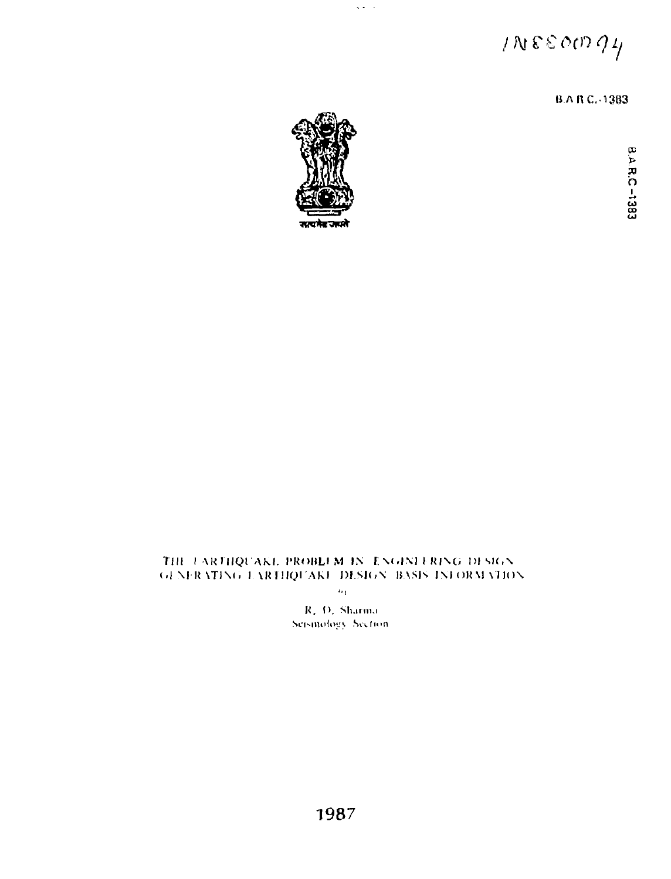$INSEOM94$ 

B.A.R.C.-1383



 $\mathbf{L}(\mathbf{x})$  .  $\mathbf{L}$ 

**so h**

## **Till I AKMIQI'AK.1. I'KOHLIM IN E \< .IM I KINCi DISK. N (.1 Nl-U \TIN(. I \KIMUI AKI OI.SIdN I! ASIs INI OR \l \ I ION**

 $\overline{b_3}$ 

**K. D. Sharma**<br>Seismology Section.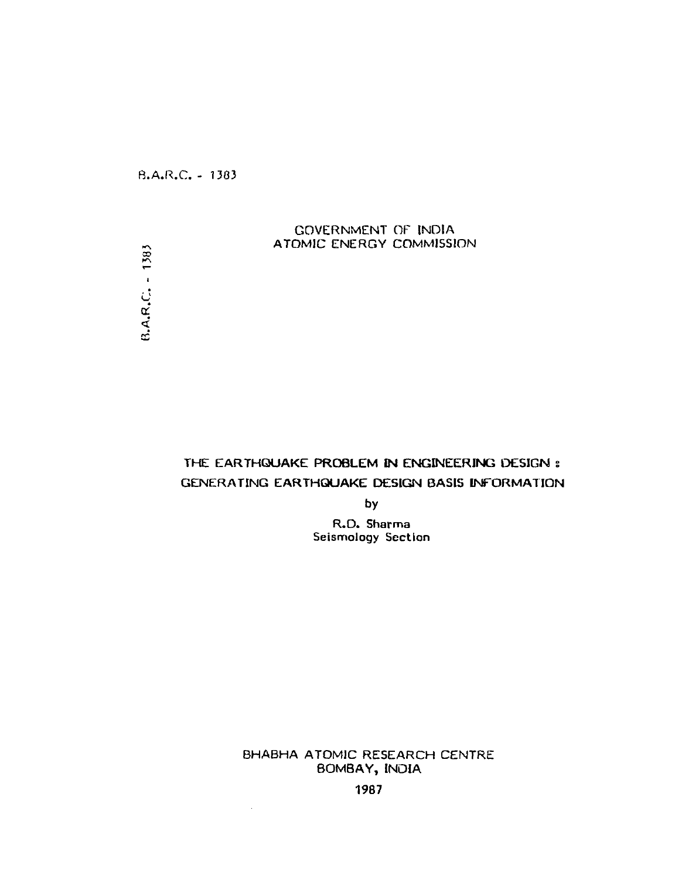R.A.R.C. - 1303

## GOVERNMENT OF INDIA ATOMIC ENERGY COMMISSION

 $B.A.R.C. - 1383$ 

# THE **EARTHQUAKE PROBLEM IN ENGINEERING DESIGN s GENERATING EARTHQUAKE DESIGN BASIS INFORMATION**

**by**

R.D. **Sharma** Seismology **Section**

BHABHA ATOMIC RESEARCH CENTRE **BOMBAY, INDIA**

**1987**

 $\sim$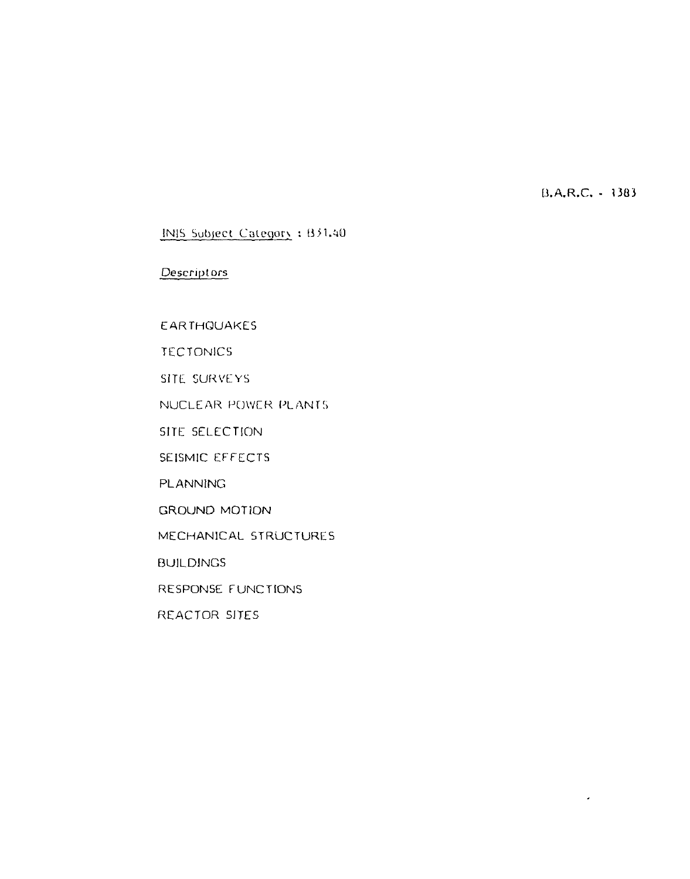U.A.R.C. - 13G3

 $\hat{\boldsymbol{\epsilon}}$ 

# INIS Subject Category: B31.40

# Descriptors

**EARTHQUAKES** 

**TECTONICS** 

SITE SURVEYS

NUCLEAR POWER PLANTS

SITE SELECTION

SEISMIC EFFECTS

PLANNING

GROUND MOTION

MECHANICAL STRUCTURES

BUILDINGS

RESPONSE FUNCTIONS

REACTOR SITES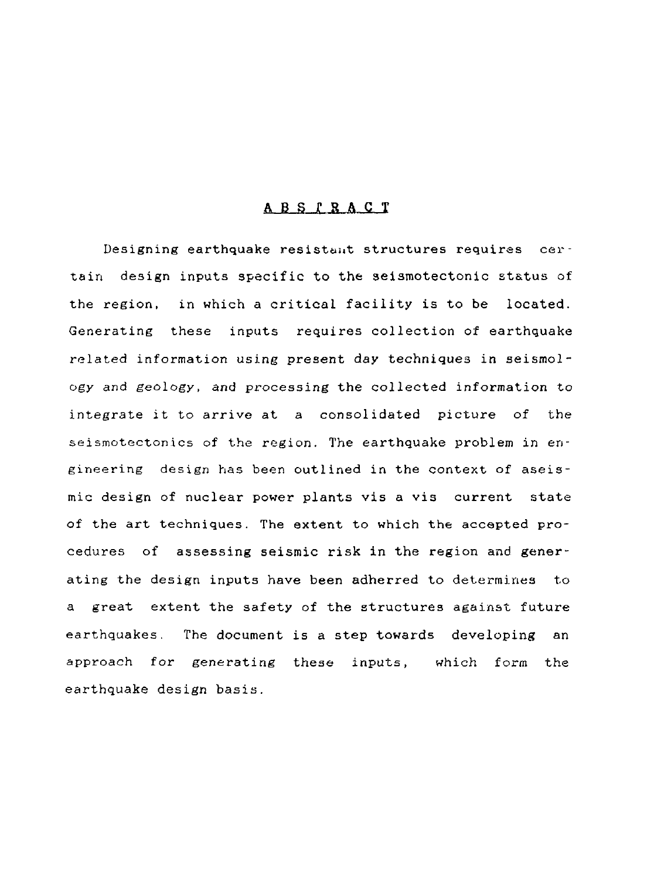## **A B S I R A C T**

Designing earthquake resistant structures requires certain design inputs specific to the seismotectonic status of the region, in which a critical facility is to be located. Generating these inputs requires collection of earthquake related information using present day techniques in seismology and geology, and processing the collected information to integrate it to arrive at a consolidated picture of the seismotectonics of the region. The earthquake problem in engineering design has been outlined in the context of aseismic design of nuclear power plants vis a vis current state of the art techniques. The extent to which the accepted procedures of assessing seismic risk in the region and generating the design inputs have been adherred to determines to a great extent the safety of the structures against future earthquakes. The document is a step towards developing an approach for generating these inputs, which form the earthquake design basis.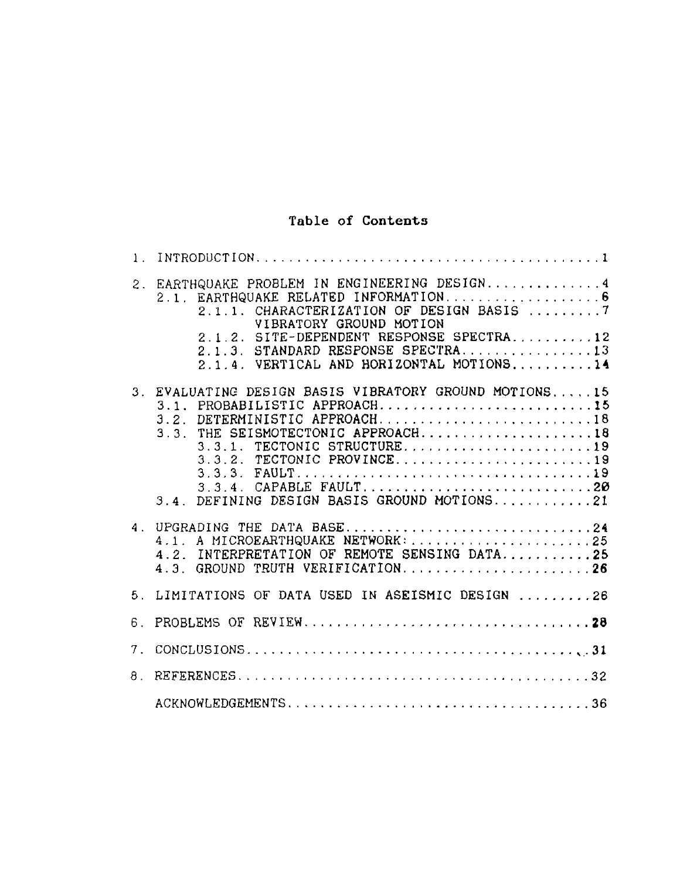# Table of Contents

| 1.7            |                                                                                                                                                                                                                                                                                                       |
|----------------|-------------------------------------------------------------------------------------------------------------------------------------------------------------------------------------------------------------------------------------------------------------------------------------------------------|
|                | 2. EARTHQUAKE PROBLEM IN ENGINEERING DESIGN 4<br>2.1. EARTHQUAKE RELATED INFORMATION6<br>2.1.1. CHARACTERIZATION OF DESIGN BASIS 7<br>VIBRATORY GROUND MOTION<br>2.1.2. SITE-DEPENDENT RESPONSE SPECTRA12<br>$2.1.3.$ STANDARD RESPONSE SPECTRA13<br>$2.1.4. VERTICAL AND HORIZONTAL MOTIONS$ $14$    |
|                | 3. EVALUATING DESIGN BASIS VIBRATORY GROUND MOTIONS15<br>3.1. PROBABILISTIC APPROACH15<br>3.2. DETERMINISTIC APPROACH18<br>$3.3.$ THE SEISMOTECTONIC APPROACH18<br>3.3.1. TECTONIC STRUCTURE19<br>3.3.2. TECTONIC PROVINCE19<br>3.3.4. CAPABLE FAULT20<br>3.4. DEFINING DESIGN BASIS GROUND MOTIONS21 |
|                | 4. UPGRADING THE DATA BASE24<br>4.1. A MICROEARTHQUAKE NETWORK: 25<br>4.2. INTERPRETATION OF REMOTE SENSING DATA25<br>4.3. GROUND TRUTH VERIFICATION26                                                                                                                                                |
|                | 5. LIMITATIONS OF DATA USED IN ASEISMIC DESIGN 26                                                                                                                                                                                                                                                     |
| 6.             |                                                                                                                                                                                                                                                                                                       |
| 7 <sup>7</sup> |                                                                                                                                                                                                                                                                                                       |
|                |                                                                                                                                                                                                                                                                                                       |
|                |                                                                                                                                                                                                                                                                                                       |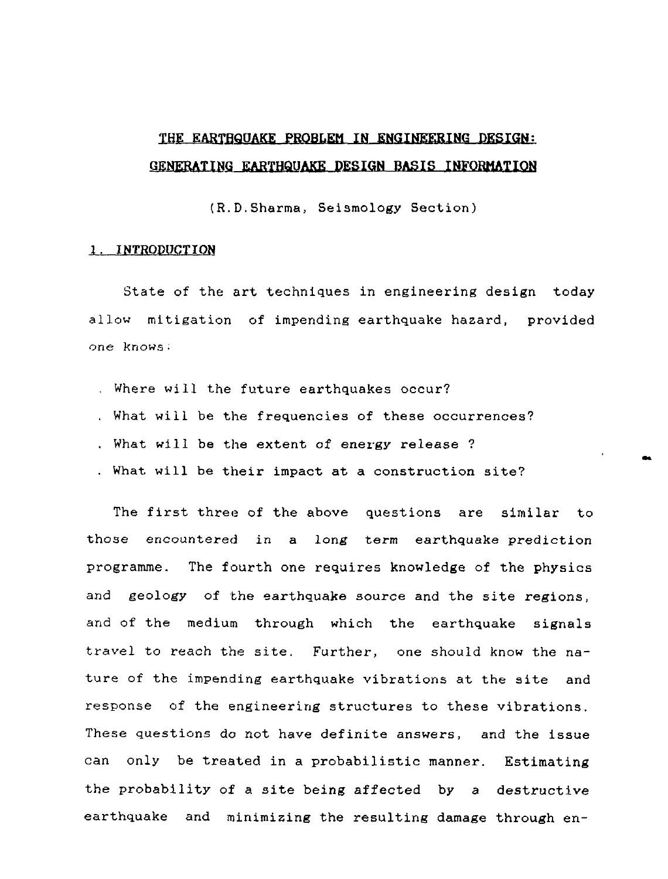# THE EARTRQUAKE PROBLEM IN ENGINEERING DESIGN: GENERATING EARTHQUAKE DESIGN BASIS INFORMATION

(R.D.Sharma, Seismology Section)

#### 1. INTRODUCTION

State of the art techniques in engineering design today allow mitigation of impending earthquake hazard, provided one knows:

- . Where will the future earthquakes occur?
- . What will be the frequencies of these occurrences?
- . What will be the extent of energy release ?
- . What will be their impact at a construction site?

The first three of the above questions are similar to those encountered in a long term earthquake prediction programme. The fourth one requires knowledge of the physics and geology of the earthquake source and the site regions, and of the medium through which the earthquake signals travel to reach the site. Further, one should know the nature of the impending earthquake vibrations at the site and response of the engineering structures to these vibrations. These questions do not have definite answers, and the issue can only be treated in a probabilistic manner. Estimating the probability of a site being affected by a destructive earthquake and minimizing the resulting damage through en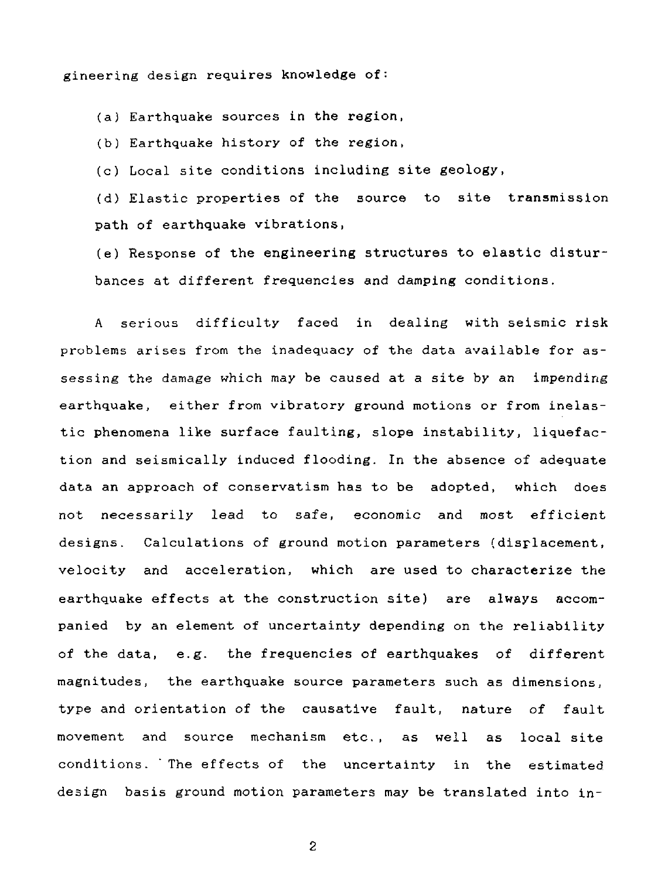gineering design requires knowledge of:

(a) Earthquake sources in the region,

(b) Earthquake history of the region,

(c) Local site conditions including site geology,

(d) Elastic properties of the source to site transmission path of earthquake vibrations,

(e) Response of the engineering structures to elastic disturbances at different frequencies and damping conditions.

A serious difficulty faced in dealing with seismic risk problems arises from the inadequacy of the data available for assessing the damage which may be caused at a site by an impending earthquake, either from vibratory ground motions or from inelastic phenomena like surface faulting, slope instability, liquefaction and seismically induced flooding. In the absence of adequate data an approach of conservatism has to be adopted, which does not necessarily lead to safe, economic and most efficient designs. Calculations of ground motion parameters (displacement, velocity and acceleration, which are used to characterize the earthquake effects at the construction site) are always accompanied by an element of uncertainty depending on the reliability of the data, e.g. the frequencies of earthquakes of different magnitudes, the earthquake source parameters such as dimensions, type and orientation of the causative fault, nature of fault movement and source mechanism etc., as well as local site conditions. ' The effects of the uncertainty in the estimated design basis ground motion parameters may be translated into in-

 $\overline{c}$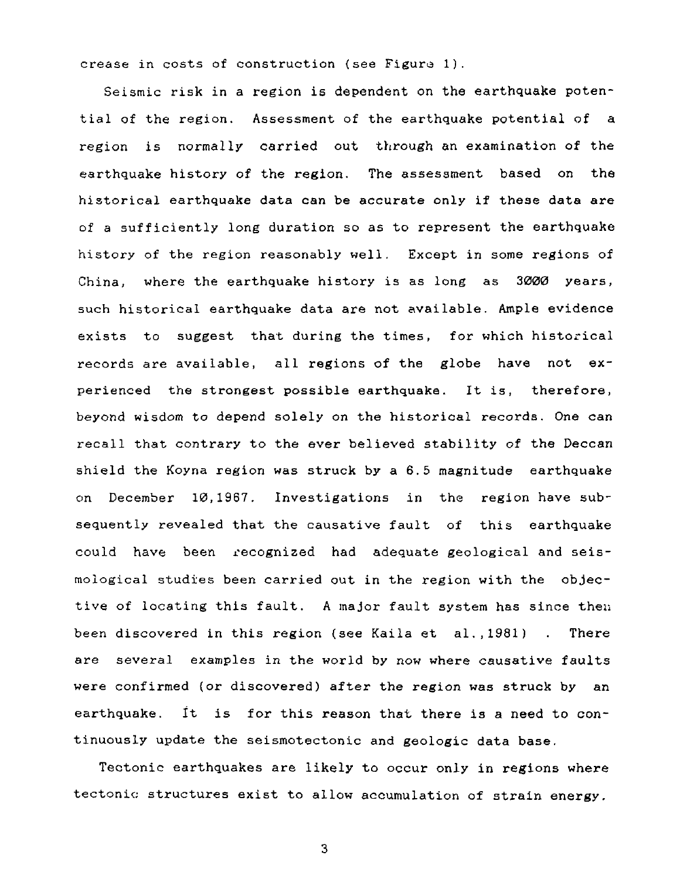crease in costs of construction (see Figure 1).

Seismic risk in a region is dependent on the earthquake potential of the region. Assessment of the earthquake potential of a region is normally carried out through an examination of the earthquake history of the region. The assessment based on the historical earthquake data can be accurate only if these data are of a sufficiently long duration so as to represent the earthquake history of the region reasonably well. Except in some regions of China, where the earthquake history is as long as 3000 years, such historical earthquake data are not available. Ample evidence exists to suggest that during the times, for which historical records are available, all regions of the globe have not experienced the strongest possible earthquake. It is, therefore, beyond wisdom to depend solely on the historical records. One can recall that contrary to the ever believed stability of the Deccan shield the Koyna region was struck by a 6.5 magnitude earthquake on December 10,1967. Investigations in the region have subsequently revealed that the causative fault of this earthquake could have been recognized had adequate geological and seismoiogical studies been carried out in the region with the objective of locating this fault. A major fault system has since theu been discovered in this region (see Kaila et al.,1981) . There are several examples in the world by now where causative faults were confirmed (or discovered) after the region was struck by an earthquake. It is for this reason that there is a need to continuously update the seismotectonic and geologic data base.

Tectonic earthquakes are likely to occur only in regions where tectonic; structures exist to allow accumulation of strain energy.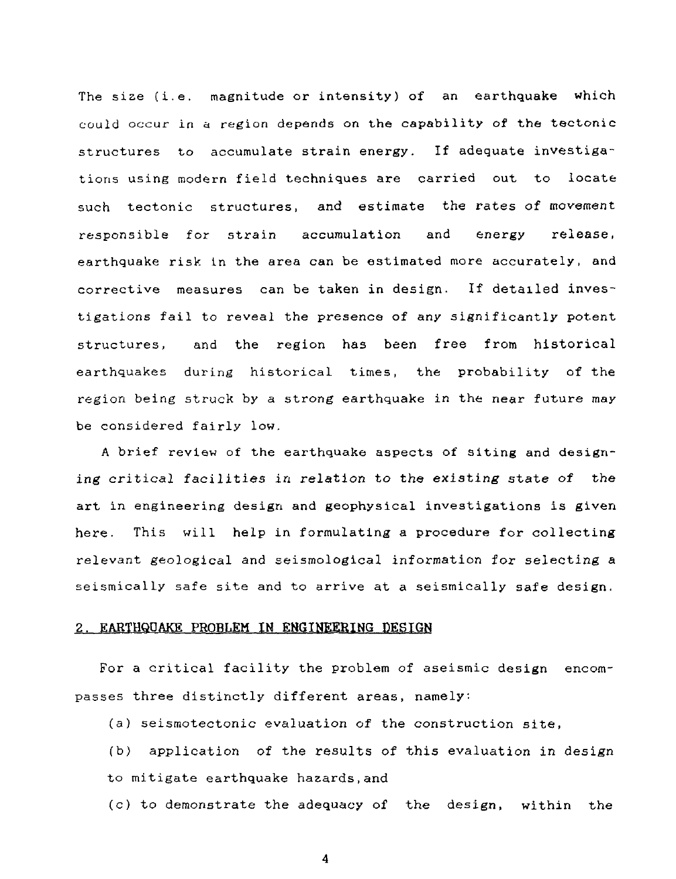The size (i.e. magnitude or intensity) of an earthquake which could occur in a region depends on the capability of the tectonic structures to accumulate strain energy. If adequate investigations using modern field techniques are carried out to locate such tectonic structures, and estimate the rates of movement responsible for strain accumulation and energy release, earthquake risk in the area can be estimated more accurately, and corrective measures can be taken in design. If detailed investigations fail to reveal the presence of any significantly potent structures, and the region has been free from historical earthquakes during historical times, the probability of the region being struck by a strong earthquake in the near future may be considered fairly low.

A brief review of the earthquake aspects of siting and designing critical facilities in relation to the existing state of the art in engineering design and geophysical investigations is given here. This will help in formulating a procedure for collecting relevant geological and seismological information for selecting a seismically safe site and to arrive at a seismically safe design.

#### 2. EARTHQUAKE PROBLEM IN ENGINEERING DESIGN

For a critical facility the problem of aseismic design encompasses three distinctly different areas, namely:

(a) seismotectonic evaluation of the construction site,

(b) application of the results of this evaluation in design to mitigate earthquake hazards,and

(c) to demonstrate the adequacy of the design, within the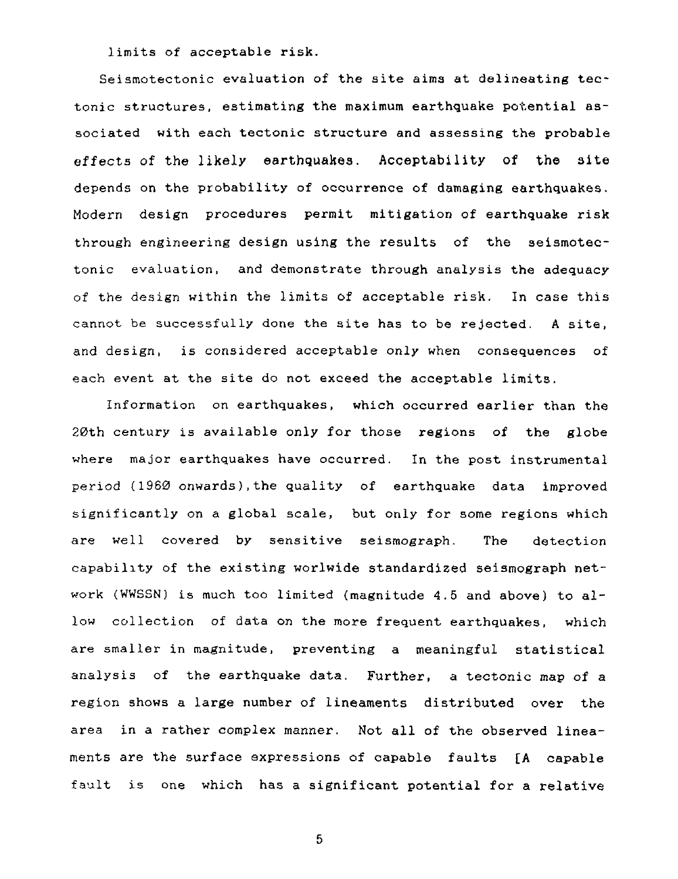limits of acceptable risk.

Seismotectonic evaluation of the site aims at delineating tectonic structures, estimating the maximum earthquake potential associated with each tectonic structure and assessing the probable effects of the likely earthquakes. Acceptability of the 3ite depends on the probability of occurrence of damaging earthquakes. Modern design procedures permit mitigation of earthquake risk through engineering design using the results of the seismotectonic evaluation, and demonstrate through analysis the adequacy of the design within the limits of acceptable risk. In case this cannot be successfully done the site has to be rejected. A site, and design, is considered acceptable only when consequences of each event at the site do not exceed the acceptable limits.

Information on earthquakes, which occurred earlier than the 20th century is available only for those regions of the globe where major earthquakes have occurred. In the post instrumental period (1960 onwards),the quality of earthquake data improved significantly on a global scale, but only for some regions which are well covered by sensitive seismograph. The detection capability of the existing worlwide standardized seismograph network (WWSSN) is much too limited (magnitude 4.5 and above) to allow collection of data on the more frequent earthquakes, which are smaller in magnitude, preventing a meaningful statistical analysis of the earthquake data. Further, a tectonic map of a region shows a large number of lineaments distributed over the area in a rather complex manner. Not all of the observed lineaments are the surface expressions of capable faults [A capable fault is one which has a significant potential for a relative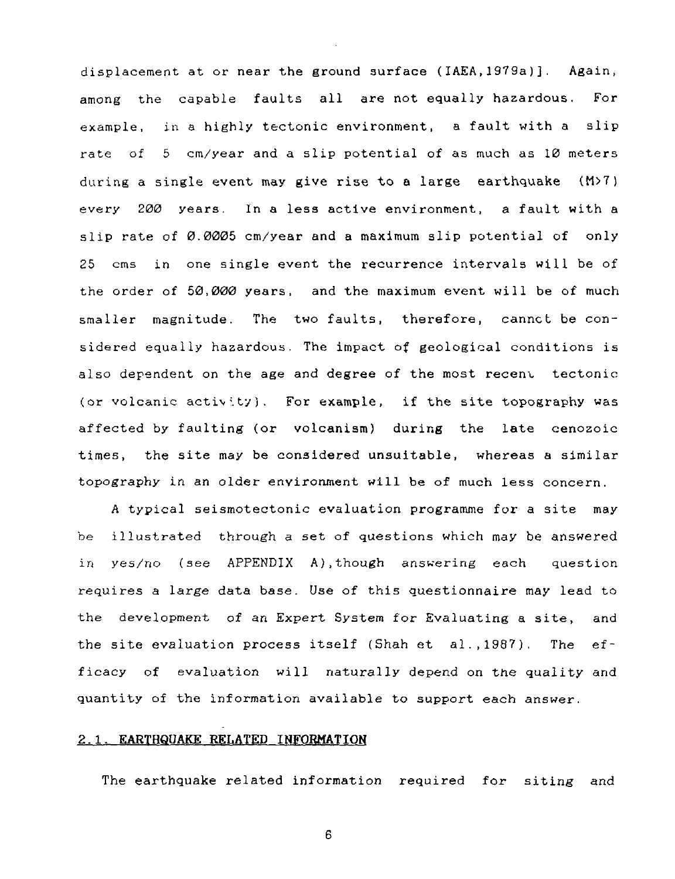displacement at or near the ground surface (IAEA,1979a)]. Again, among the capable faults all are not equally hazardous. For example, in a highly tectonic environment, a fault with a slip rate of 5 cm/year and a slip potential of as much as 10 meters during a single event may give rise to a large earthquake  $(M>7)$ every 200 years. In a less active environment, a fault with a slip rate of 0.0005 cm/year and a maximum slip potential of only 25 cms in one single event the recurrence intervals will be of the order of 50,000 years, and the maximum event will be of much smaller magnitude. The two faults, therefore, cannct be considered equally hazardous. The impact of geological conditions is also dependent on the age and degree of the most recent tectonic (or volcanic activity). For example, if the site topography was affected by faulting (or volcanism) during the late cenozoic times, the site may be considered unsuitable, whereas a similar topography in an older environment will be of much less concern.

A typical seismotectonic evaluation programme for a site may be illustrated through a set of questions which may be answered in yes/no (see APPENDIX A),though answering each question requires a large data base. Use of this questionnaire may lead to the development of an Expert System for Evaluating a site, and the site evaluation process itself (Shah et al.,1987). The efficacy of evaluation will naturally depend on the quality and quantity of the information available to support each answer.

#### 2.1. **EARTHQUAKE RELATED INFORMATION**

The earthquake related information required for siting and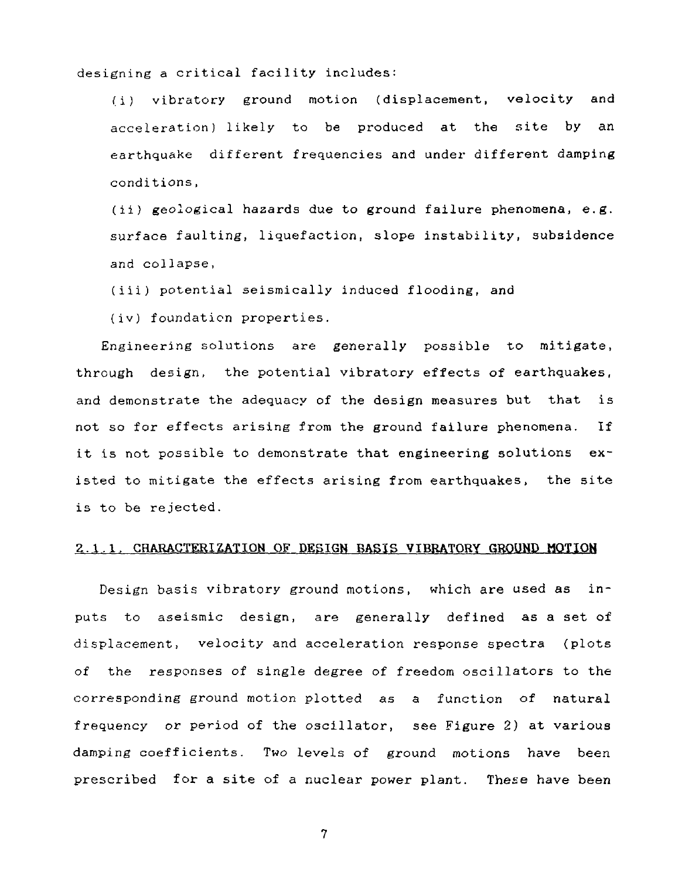designing a critical facility includes:

(i) vibratory ground motion (displacement, velocity and acceleration) likely to be produced at the site by an earthquake different frequencies and under different damping conditions,

(ii) geological hazards due to ground failure phenomena, e.g. surface faulting, liquefaction, slope instability, subsidence and collapse,

(iii) potential seismically induced flooding, and

(iv) foundation properties.

Engineering solutions are generally possible to mitigate, through design, the potential vibratory effects of earthquakes, and demonstrate the adequacy of the design measures but that is not so for effects arising from the ground failure phenomena. If it is not possible to demonstrate that engineering solutions existed to mitigate the effects arising from earthquakes, the site is to be rejected.

### 2.1.1. CHARACTERIZATION OF DESIGN BASIS VIBRATORY GROUND MOTION

Design basis vibratory ground motions, which are used as inputs to aseismic design, are generally defined as a set of displacement, velocity and acceleration response spectra (plots of the responses of single degree of freedom oscillators to the corresponding ground motion plotted as a function of natural frequency or period of the oscillator, see Figure 2) at various damping coefficients. Two levels of ground motions have been prescribed for a site of a nuclear power plant. These have been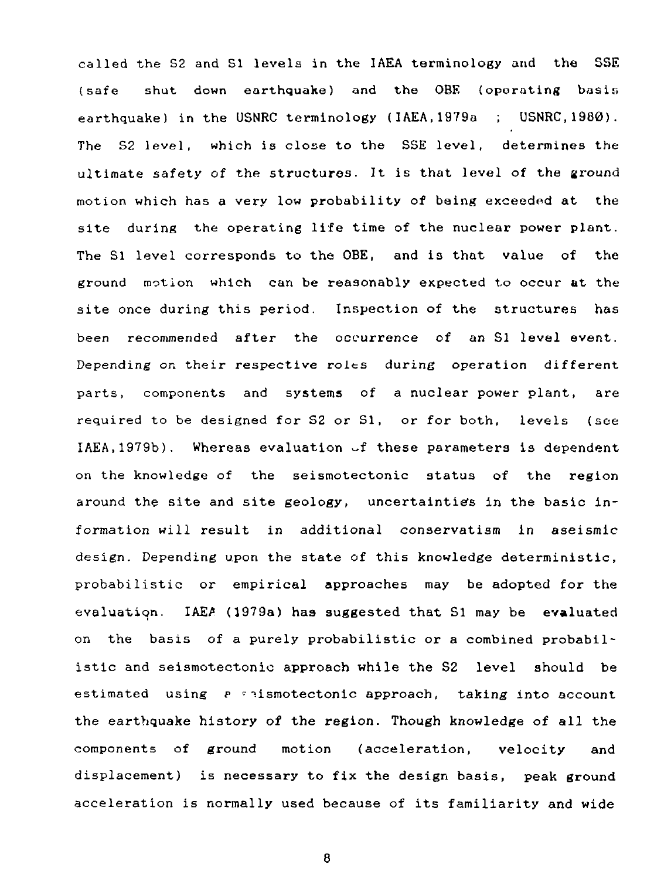called the S2 and SI levels in the IAEA terminology and the SSE (safe shut down earthquake) and the OBE (operating basis earthquake) in the USNRC terminology (IAEA,1979a ; USNRC.1980). The S2 level, which is close to the SSE level, determines the ultimate safety of the structures. It is that level of the ground motion which has a very low probability of being exceedod at the site during the operating life time of the nuclear power plant. The SI level corresponds to the OBE, and is that value of the ground motion which can be reasonably expected to occur at the site once during this period. Inspection of the structures has been recommended after the occurrence of an SI level event. Depending on their respective roles during operation different parts, components and systems of a nuclear power plant, are required to be designed for S2 or SI, or for both, levels (see  $IAEA, 1979b$ ). Whereas evaluation  $\mathcal{A}$  these parameters is dependent on the knowledge of the seismotectonic status of the region around the site and site geology, uncertainties in the basic information will result in additional conservatism in aseismic design. Depending upon the state of this knowledge deterministic, probabilistic or empirical approaches may be adopted for the evaluation. IAEA (1979a) has suggested that SI may be evaluated on the basis of a purely probabilistic or a combined probabilistic and seismotectonic approach while the S2 level should be estimated using P \* ^ismotectonic approach, taking into account the earthquake history of the region. Though knowledge of all the components of ground motion (acceleration, velocity and displacement) is necessary to fix the design basis, peak ground acceleration is normally used because of its familiarity and wide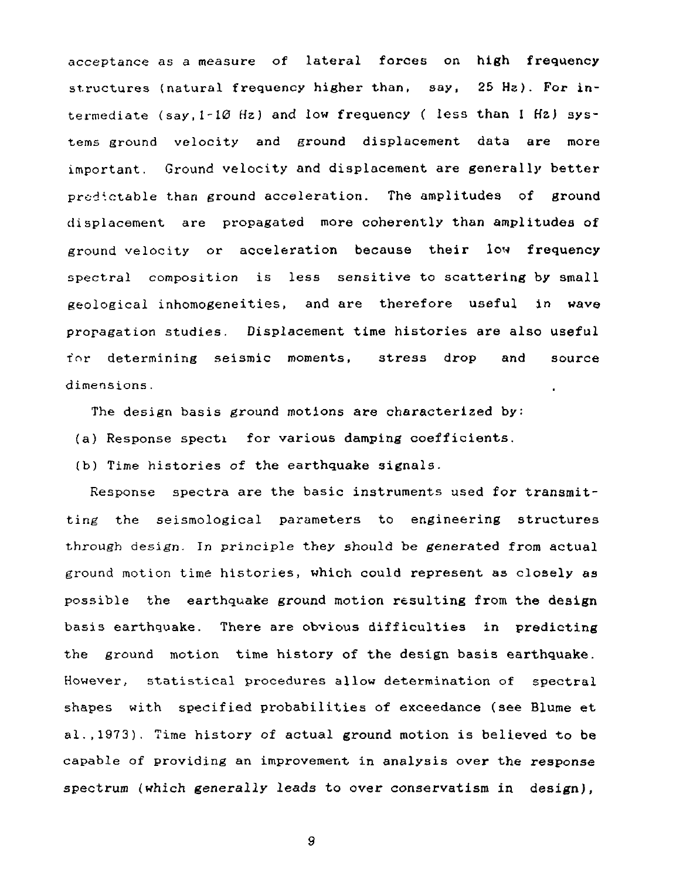acceptance as a measure of lateral forces on high frequency structures (natural frequency higher than, say, 25 Hz). For intermediate (say,  $1-10$  Hz) and low frequency ( less than I Hz) systems ground velocity and ground displacement data are more important. Ground velocity and displacement are generally better predictable than ground acceleration. The amplitudes of ground displacement are propagated more coherently than amplitudes of ground velocity or acceleration because their low frequency spectral composition is less sensitive to scattering by small geological inhomogeneities, and are therefore useful in wave propagation studies. Displacement time histories are also useful for determining seismic moments, stress drop and source dimensions.

The design basis ground motions are characterized by:

(a) Response specti for various damping coefficients.

(b) Time histories of the earthquake signals.

Response spectra are the basic instruments used for transmitting the seismological parameters to engineering structures through design. In principle they should be generated from actual ground motion time histories, which could represent as closely as possible the earthquake ground motion resulting from the design basis earthquake. There are obvious difficulties in predicting the ground motion time history of the design basis earthquake. However, statistical procedures allow determination of spectral shapes with specified probabilities of exceedance (see Blume et al.,1973). Time history of actual ground motion is believed to be capable of providing an improvement in analysis over the response spectrum (which generally leads to over conservatism in design),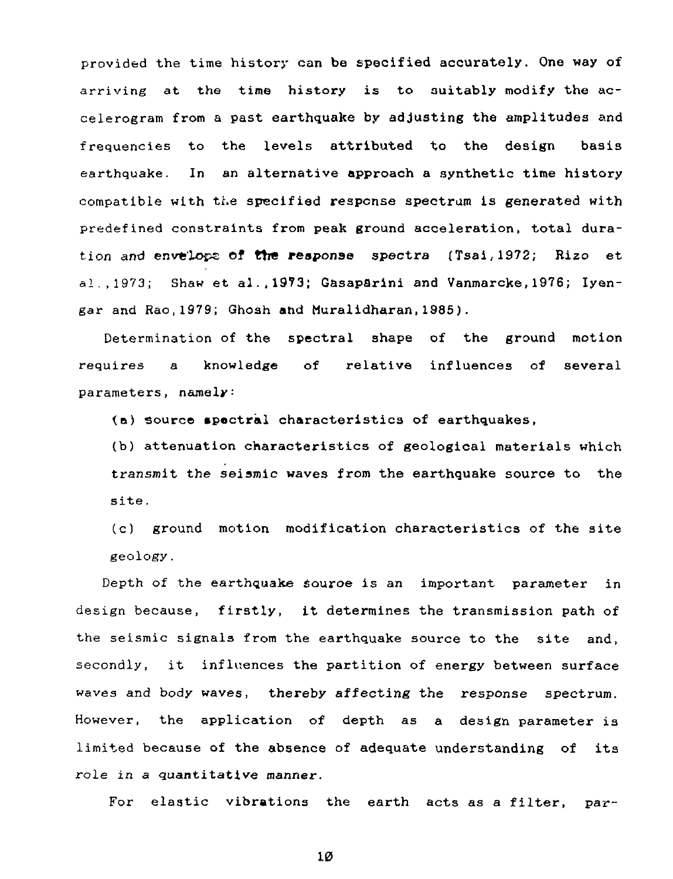provided the time history can be specified accurately. One way of arriving at the time history is to suitably modify the accelerogram from a past earthquake by adjusting the amplitudes and frequencies to the levels attributed to the design basis earthquake. In an alternative approach a synthetic time history compatible with the specified response spectrum is generated with predefined constraints from peak ground acceleration, total duration and envelops of the response spectra (Tsai,1972; Rizo et al.,1973; Shaw et al., 1973; Gasaparini and Vanmarcke, 1976; Iyengar and Rao,1979; Ghosh and Muralidharan,1985).

Determination of the spectral shape of the ground motion requires a knowledge of relative influences of several parameters, namely:

(a) source spectral characteristics of earthquakes,

(b) attenuation characteristics of geological materials which transmit the seismic waves from the earthquake source to the site.

(c) ground motion modification characteristics of the site geology.

Depth of the earthquake souroe is an important parameter in design because, firstly, it determines the transmission path of the seismic signals from the earthquake source to the site and, secondly, it influences the partition of energy between surface waves and body waves, thereby affecting the response spectrum. However, the application of depth as a design parameter is limited because of the absence of adequate understanding of its role in a quantitative manner.

For elastic vibrations the earth acts as a filter, par-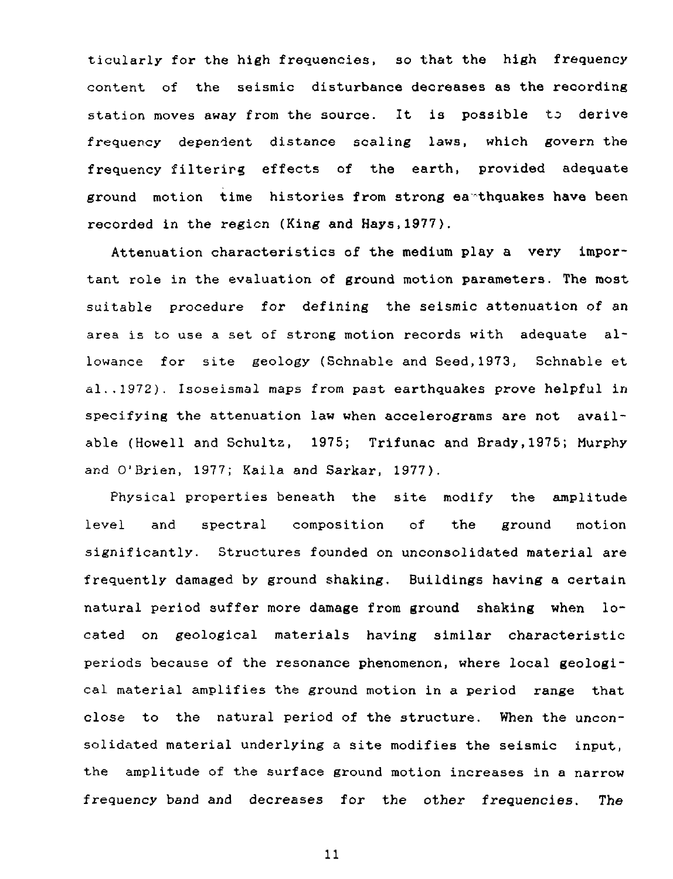ticularly for the high frequencies, so that the high frequency content of the seismic disturbance decreases as the recording station moves away from the source. It is possible to derive frequency dependent distance scaling laws, which govern the frequency filtering effects of the earth, provided adequate ground motion time histories from strong earthquakes have been recorded in the region (King and Hays,1977).

Attenuation characteristics of the medium play a very important role in the evaluation of ground motion parameters. The most suitable procedure for defining the seismic attenuation of an area is to use a set of strong motion records with adequate allowance for site geology (Schnable and Seed,1973, Schnable et al.,1972). Isoseismal maps from past earthquakes prove helpful in specifying the attenuation law when accelerograms are not available (Howell and Schultz, 1975; Trifunac and Brady,1975; Murphy and O'Brien, 1977; Kaila and Sarkar, 1977).

Physical properties beneath the site modify the amplitude level and spectral composition of the ground motion significantly. Structures founded on unconsolidated material are frequently damaged by ground shaking. Buildings having a certain natural period suffer more damage from ground shaking when located on geological materials having similar characteristic periods because of the resonance phenomenon, where local geological material amplifies the ground motion in a period range that close to the natural period of the structure. When the unconsolidated material underlying a site modifies the seismic input, the amplitude of the surface ground motion increases in a narrow frequency band and decreases for the other frequencies. The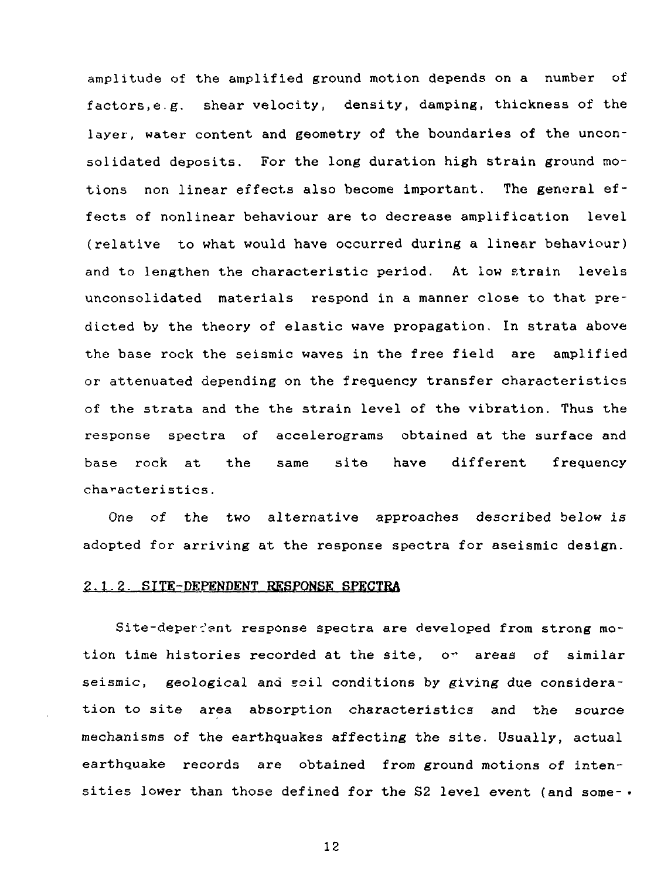amplitude of the amplified ground motion depends on a number of factors,e.g. shear velocity, density, damping, thickness of the layer, water content and geometry of the boundaries of the unconsolidated deposits. For the long duration high strain ground motions non linear effects also become important. The general effects of nonlinear behaviour are to decrease amplification level (relative to what would have occurred during a linear behaviour) and to lengthen the characteristic period. At low strain levels unconsolidated materials respond in a manner close to that predicted by the theory of elastic wave propagation. In strata above the base rock the seismic waves in the free field are amplified or attenuated depending on the frequency transfer characteristics of the strata and the the strain level of the vibration. Thus the response spectra of accelerograms obtained at the surface and base rock at the same site have different frequency characteristics.

One of the two alternative approaches described below is adopted for arriving at the response spectra for aseismic design.

#### 2.1.2. SITE-DEPENDENT RESPONSE SPECTRA

Site-depereent response spectra are developed from strong motion time histories recorded at the site, or areas of similar seismic, geological and soil conditions by giving due consideration to site area absorption characteristics and the source mechanisms of the earthquakes affecting the site. Usually, actual earthquake records are obtained from ground motions of intensities lower than those defined for the S2 level event (and some- $\cdot$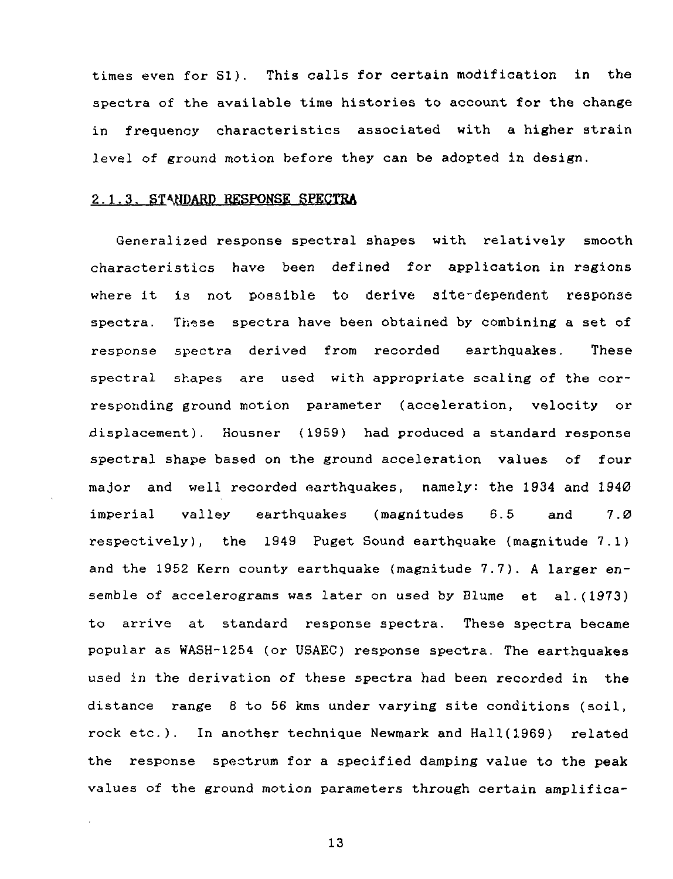times even for SI). This calls for certain modification in the spectra of the available time histories to account for the change in frequency characteristics associated with a higher strain level of ground motion before they can be adopted in design.

#### 2.1.3. **STANDARD RESPONSE SPECTRA**

Generalized response spectral shapes with relatively smooth characteristics have been defined for application in regions where it is not possible to derive site-dependent response spectra. These spectra have been obtained by combining a set of response spectra derived from recorded earthquakes. These spectral shapes are used with appropriate scaling of the corresponding ground motion parameter (acceleration, velocity or displacement). Housner (1959) had produced a standard response spectral shape based on the ground acceleration values of four major and well recorded earthquakes, namely: the 1934 and 1940 imperial valley earthquakes (magnitudes 6.5 and 7.0 respectively), the 1949 Puget Sound earthquake (magnitude 7.1) and the 1952 Kern county earthquake (magnitude 7.7). A larger ensemble of accelerograms was later on used by Blume et al.(1973) to arrive at standard response spectra. These spectra became popular as WASH-1254 (or USAEC) response spectra. The earthquakes used in the derivation of these spectra had been recorded in the distance range 6 to 56 kms under varying site conditions (soil, rock etc.). In another technique Newmark and Hall(1969) related the response spectrum for a specified damping value to the peak values of the ground motion parameters through certain amplifica-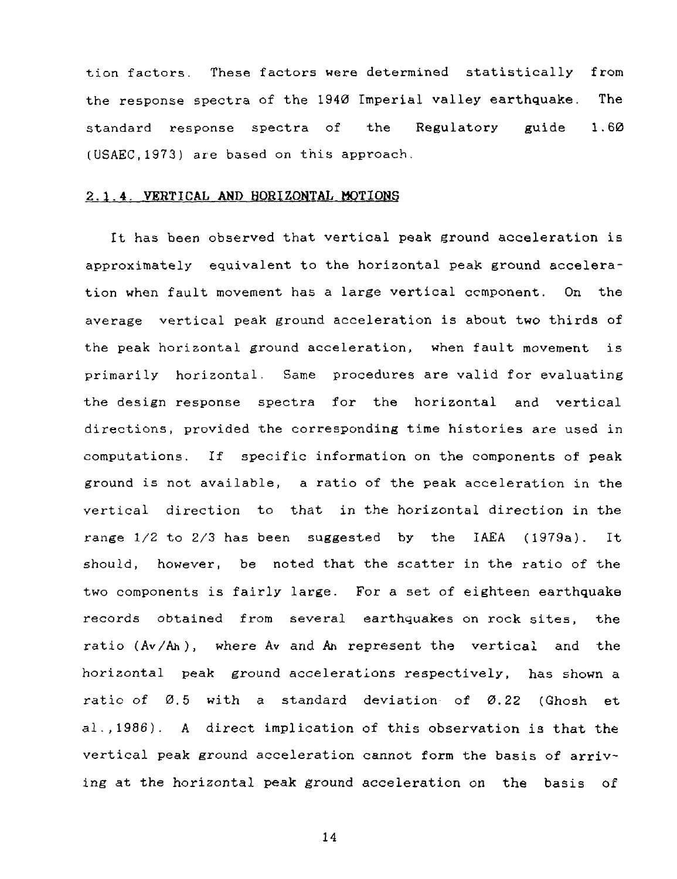tion factors. These factors were determined statistically from the response spectra of the 1940 Imperial valley earthquake. The standard response spectra of the Regulatory guide 1.60 (USAEC,1973) are based on this approach.

#### **2.1.4. VERTICAL AND HORIZONTAL MOTIONS**

It has been observed that vertical peak ground acceleration is approximately equivalent to the horizontal peak ground acceleration when fault movement has a large vertical component. On the average vertical peak ground acceleration is about two thirds of the peak horizontal ground acceleration, when fault movement is primarily horizontal. Same procedures are valid for evaluating the design response spectra for the horizontal and vertical directions, provided the corresponding time histories are used in computations. If specific information on the components of peak ground is not available, a ratio of the peak acceleration in the vertical direction to that in the horizontal direction in the range 1/2 to 2/3 has been suggested by the IAEA (1979a). It should, however, be noted that the scatter in the ratio of the two components is fairly large. For a set of eighteen earthquake records obtained from several earthquakes on rock sites, the ratio (Av/Ah), where Av and Ah represent the vertical and the horizontal peak ground accelerations respectively, has shown a ratio of  $0.5$  with a standard deviation of  $0.22$  (Ghosh et al.,1986). A direct implication of this observation is that the vertical peak ground acceleration cannot form the basis of arriving at the horizontal peak ground acceleration on the basis of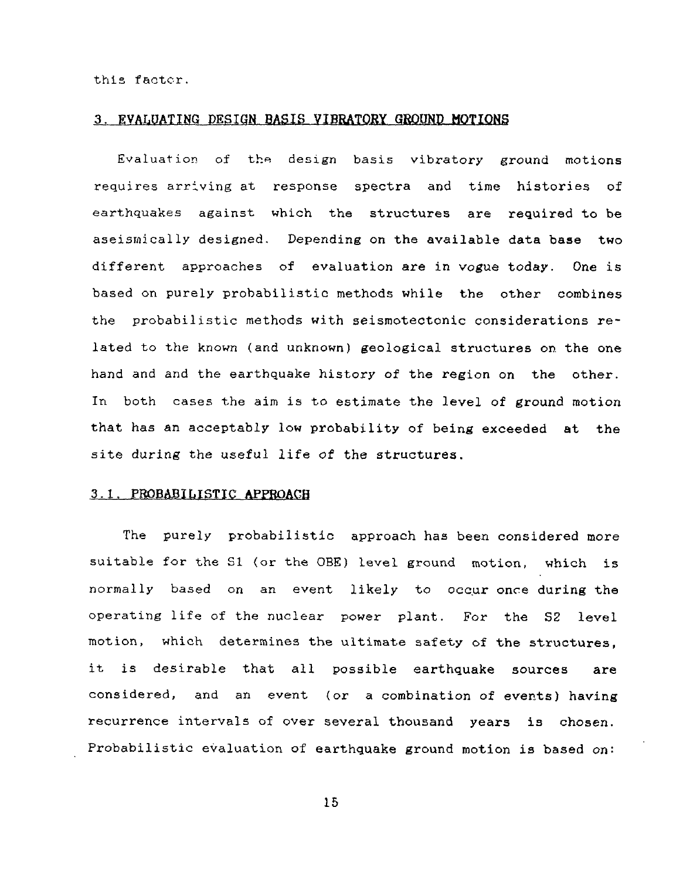this factor.

#### 3. EVALUATING DESIGN BASIS **VIBRATORY GROUND MOTIONS**

Evaluation of the design basis vibratory ground motions requires arriving at response spectra and time histories of earthquakes against which the structures are required to be aseismically designed. Depending on the available data base two different approaches of evaluation are in vogue today. One is based on purely probabilistic methods while the other combines the probabilistic methods with seismotectonic considerations related to the known (and unknown) geological structures on the one hand and and the earthquake history of the region on the other. In both cases the aim is to estimate the level of ground motion that has an acceptably low probability of being exceeded at the site during the useful life of the structures.

## 3.1. PROBABILISTIC **APPROACH**

The purely probabilistic approach has been considered more suitable for the SI (or the OBE) level ground motion, which is normally based on an event likely to occur once during the operating life of the nuclear power plant. For the S2 level motion, which determines the ultimate safety of the structures, it is desirable that all possible earthquake sources are considered, and an event (or a combination of events) having recurrence intervals of over several thousand years is chosen. Probabilistic evaluation of earthquake ground motion is based on: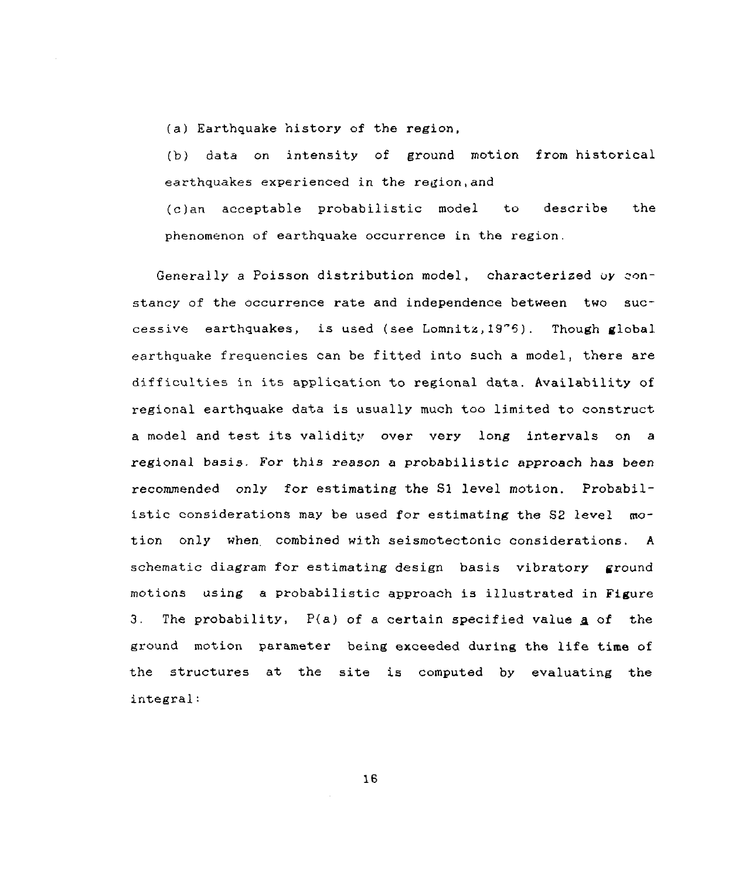(a) Earthquake history of the region,

(b) data on intensity of ground motion from historical earthquakes experienced in the region, and

(c)an acceptable probabilistic model to describe the phenomenon of earthquake occurrence in the region.

Generally a Poisson distribution model, characterized oy constancy of the occurrence rate and independence between two successive earthquakes, is used (see Lomnita,19"6). Though global earthquake frequencies can be fitted into such a model, there are difficulties in its application to regional data. Availability of regional earthquake data is usually much too limited to construct a model and test its validity over very long intervals on a regional basis. For this reason a probabilistic approach has been recommended only for estimating the SI level motion. Probabilistic considerations may be used for estimating the S2 level motion only when, combined with seismotectonic considerations. A schematic diagram for estimating design basis vibratory ground motions using a probabilistic approach is illustrated in Figure 3. The probability,  $P(a)$  of a certain specified value  $a$  of the ground motion parameter being exceeded during the life time of the structures at the site is computed by evaluating the integral: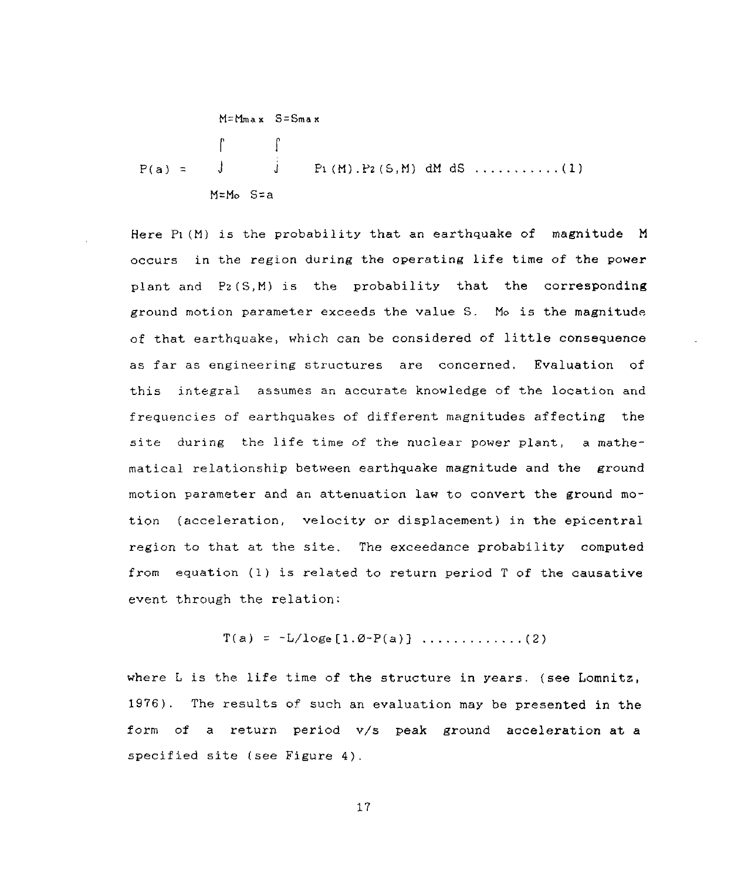$$
M = M_{max} S = S_{max}
$$
\n
$$
\int_{P(a)}^{\infty} \int_{J}^{B} P_1(M) P_2(S, M) dM dS \dots (1)
$$
\n
$$
M = M_0 S = a
$$

Here Pi(M) is the probability that an earthquake of magnitude M occurs in the region during the operating life time of the power plant and P2(S,M) is the probability that the corresponding ground motion parameter exceeds the value S. Mo is the magnitude of that earthquake, which can be considered of little consequence as far as engineering structures are concerned. Evaluation of this integral assumes an accurate knowledge of the location and frequencies of earthquakes of different magnitudes affecting the site during the life time of the nuclear power plant, a mathematical relationship between earthquake magnitude and the ground motion parameter and an attenuation law to convert the ground motion (acceleration, velocity or displacement) in the epicentrai region to that at the site. The exceedance probability computed from equation (1) is related to return period T of the causative event through the relation:

$$
T(a) = -L/l
$$
oge $[1.0-P(a)]$ ............(2)

where L is the life time of the structure in years. (see Lomnitz, 1976). The results of such an evaluation may be presented in the form of a return period v/s peak ground acceleration at a specified site (see Figure 4).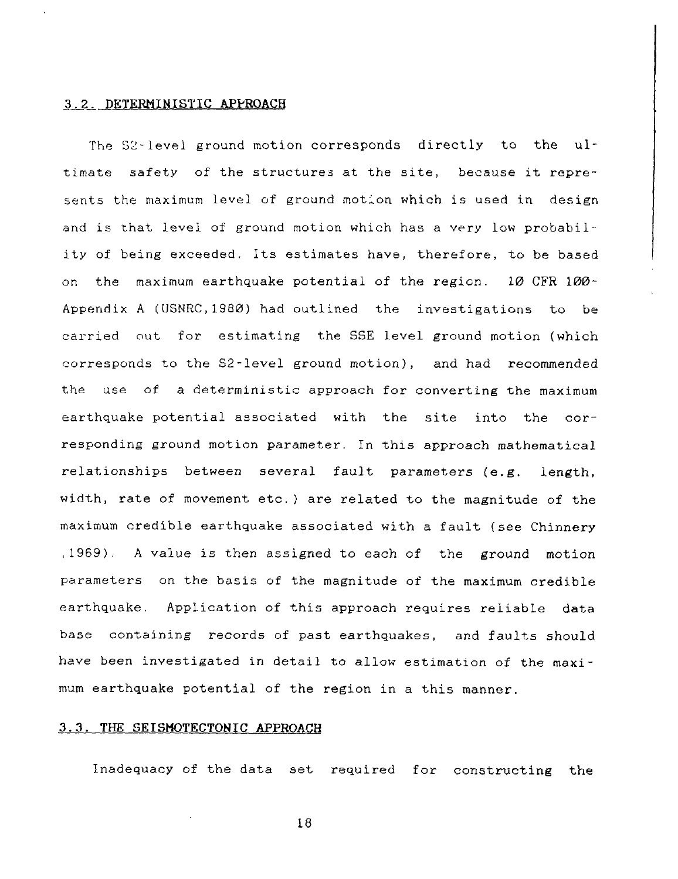#### 3.2. DETERMINISTIC APPROACH

The 52-level ground motion corresponds directly to the ultimate safety of the structures at the site, because it represents the maximum level of ground motion which is used in design and is that level of ground motion which has a very low probability of being exceeded. Its estimates have, therefore, to be based on the maximum earthquake potential of the region. 10 CFR 100- Appendix A (USNRC.1980) had outlined the investigations to be carried out for estimating the SSE level ground motion (which corresponds to the S2-level ground motion), and had recommended the use of a deterministic approach for converting the maximum earthquake potential associated with the site into the corresponding ground motion parameter. In this approach mathematical relationships between several fault parameters (e.g. length, width, rate of movement etc.) are related to the magnitude of the maximum credible earthquake associated with a fault (see Chinnery ,1969). A value is then assigned to each of the ground motion parameters on the basis of the magnitude of the maximum credible earthquake. Application of this approach requires reliable data base containing records of past earthquakes, and faults should have been investigated in detail to allow estimation of the maximum earthquake potential of the region in a this manner.

#### 3.3. THE SEISMOTECTONIC APPROACH

Inadequacy of the data set required for constructing the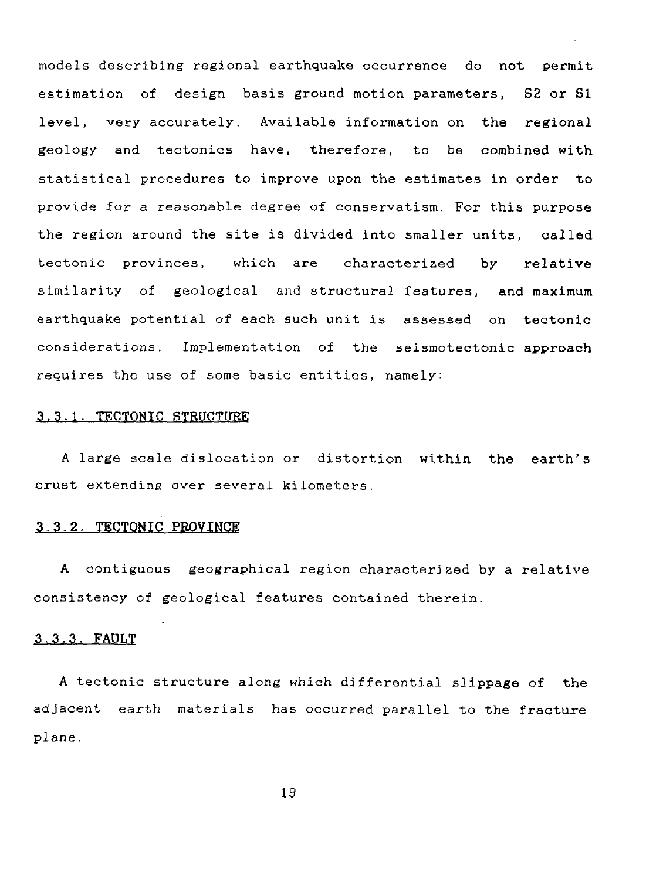models describing regional earthquake occurrence do not permit estimation of design basis ground motion parameters, S2 or SI level, very accurately. Available information on the regional geology and tectonics have, therefore, to be combined with statistical procedures to improve upon the estimates in order to provide for a reasonable degree of conservatism. For this purpose the region around the site is divided into smaller units, called tectonic provinces, which are characterized by relative similarity of geological and structural features, and maximum earthquake potential of each such unit is assessed on tectonic considerations. Implementation of the seismotectonic approach requires the use of some basic entities, namely:

#### 3.3.1. TECTONIC STRUCTURE

A large scale dislocation or distortion within the earth's crust extending over several kilometers.

#### 3.3.2. TECTONIC PROVINCE

A contiguous geographical region characterized by a relative consistency of geological features contained therein.

#### 3.3.3. FAULT

A tectonic structure along which differential slippage of the adjacent earth materials has occurred parallel to the fracture plane.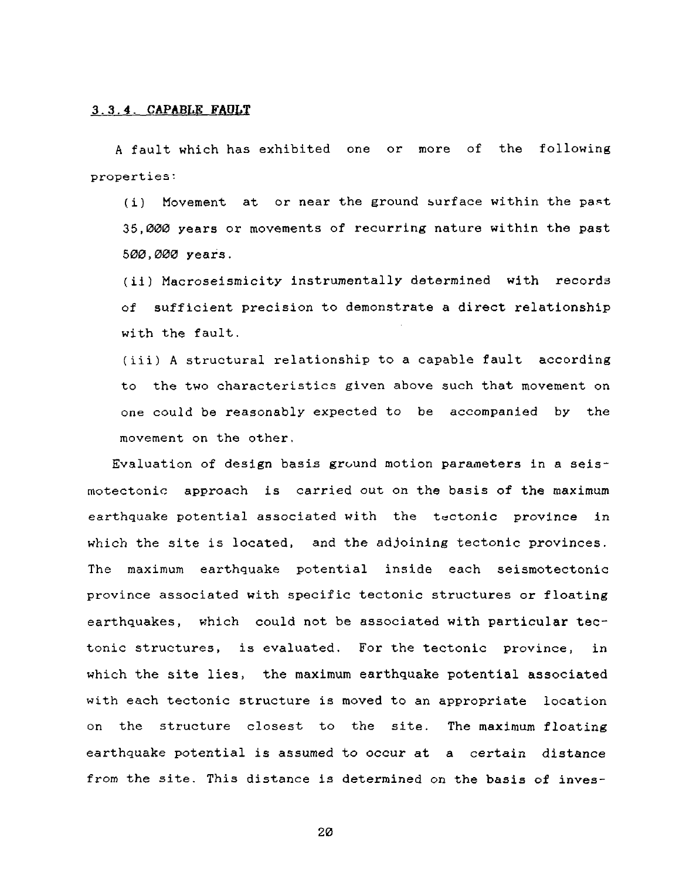#### 3.3.4. CAPABLK FADLT

A fault which has exhibited one or more of the following properties:

(i) Movement at or near the ground surface within the past 35,000 years or movements of recurring nature within the past 500,000 years.

(ii) Macroseismicity instrumentally determined with records of sufficient precision to demonstrate a direct relationship with the fault.

(iii) A structural relationship to a capable fault according to the two characteristics given above such that movement on one could be reasonably expected to be accompanied by the movement on the other.

Evaluation of design basis ground motion parameters in a seismotectonic approach is carried out on the basis of the maximum earthquake potential associated with the tectonic province in which the site is located, and the adjoining tectonic provinces. The maximum earthquake potential inside each seismotectonic province associated with specific tectonic structures or floating earthquakes, which could not be associated with particular tectonic structures, is evaluated. For the tectonic province, in which the site lies, the maximum earthquake potential associated with each tectonic structure is moved to an appropriate location on the structure closest to the site. The maximum floating earthquake potential is assumed to occur at a certain distance from the site. This distance is determined on the basis of inves-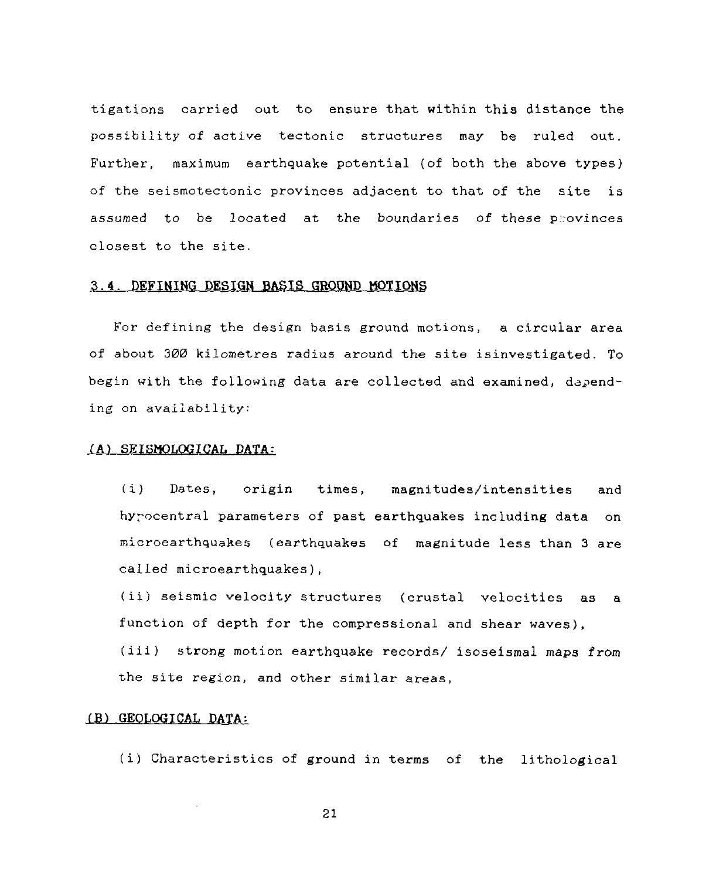tigations carried out to ensure that within this distance the possibility of active tectonic structures may be ruled out. Further, maximum earthquake potential (of both the above types) of the seismotectonic provinces adjacent to that of the site is assumed to be located at the boundaries of these provinces closest to the site.

#### 3.4. DEFINING DESIGN BASIS GROOND MOTIONS

For defining the design basis ground motions, a circular area of about 300 kilometres radius around the site isinvestigated. To begin with the following data are collected and examined, depending on availability:

#### (A) SEISMOLOGICAL DATA:

(i) Dates, origin times, magnitudes/intensities and hyrocentral parameters of past earthquakes including data on microearthquakes (earthquakes of magnitude less than 3 are called microearthquakes),

(ii) seismic velocity structures (crustal velocities as a function of depth for the compressional and shear waves),

(iii) strong motion earthquake records/ isoseismal maps from the site region, and other similar areas,

#### (B) GEOLOGICAL DATA:

(i) Characteristics of ground in terms of the lithological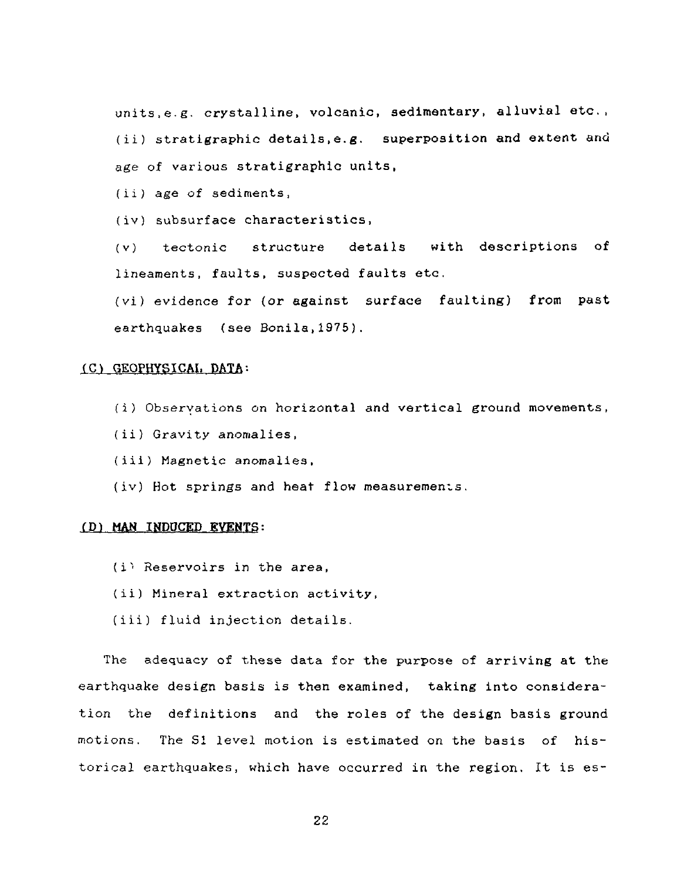units,e.g. crystalline, volcanic, sedimentary, alluvial etc., (ii) stratigraphic details.e.g. superposition and extent and age of various stratigraphic units,

(ii) age of sediments,

(iv) subsurface characteristics,

(v) tectonic structure details with descriptions of lineaments, faults, suspected faults etc.

(vi) evidence for (or against surface faulting) from past earthquakes (see Bonila,1975).

#### (C) GEOPHYSICAL DATA:

(i) Obseryations on horizontal and vertical ground movements,

- (ii) Gravity anomalies,
- (iii) Magnetic anomalies,
- (iv) Hot springs and heat flow measurements.

#### (D) MAN INDUCED EVENTS:

- $(i)$  Reservoirs in the area,
- (ii) Mineral extraction activity,
- (iii) fluid injection details.

The adequacy of these data for the purpose of arriving at the earthquake design basis is then examined, taking into consideration the definitions and the roles of the design basis ground motions. The SI level motion is estimated on the basis of historical earthquakes, which have occurred in the region. It is es-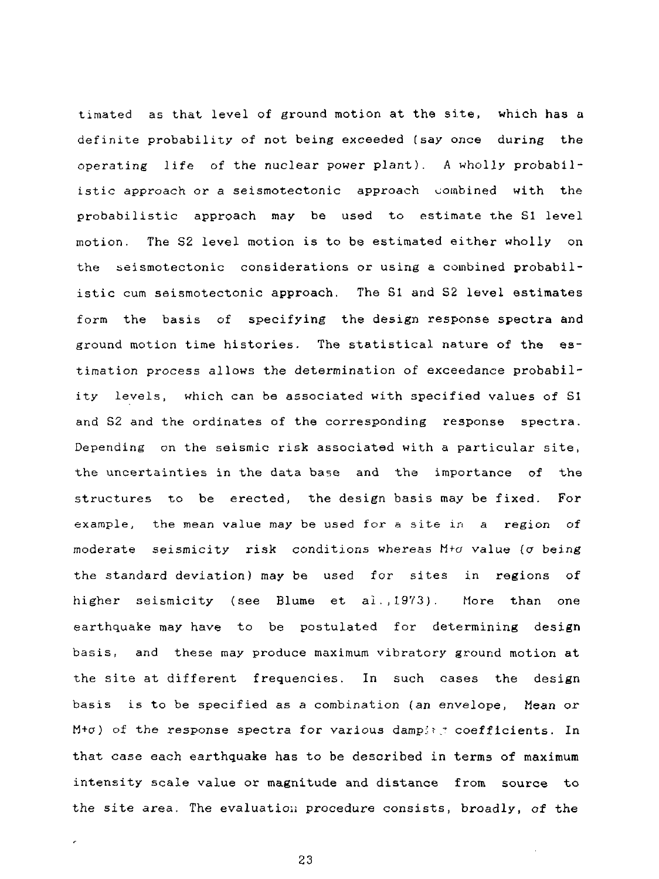timated as that level of ground motion at the site, which has a definite probability of not being exceeded (say once during the operating life of the nuclear power plant). A wholly probabilistic approach or a seismotectonic approach combined with the probabilistic approach may be used to estimate the SI level motion. The S2 level motion is to be estimated either wholly on the seismotectonic considerations or using a combined probabilistic cum seismotectonic approach. The SI and S2 level estimates form the basis of specifying the design response spectra and ground motion time histories. The statistical nature of the estimation process allows the determination of exceedance probability levels, which can be associated with specified values of SI and S2 and the ordinates of the corresponding response spectra. Depending on the seismic risk associated with a particular site, the uncertainties in the data base and the importance of the structures to be erected, the design basis may be fixed. For example, the mean value may be used for a site in a region of moderate seismicity risk conditions whereas  $M+*o*$  value ( $\sigma$  being the standard deviation) may be used for sites in regions of higher seismicity (see Blume et ai.,1973). More than one earthquake may have to be postulated for determining design basis, and these may produce maximum vibratory ground motion at the site at different frequencies. In such cases the design basis is to be specified as a combination {an envelope, Mean or M+ $\sigma$ ) of the response spectra for various damping coefficients. In that case each earthquake has to be described in terms of maximum intensity scale value or magnitude and distance from source to the site area. The evaluation procedure consists, broadly, of the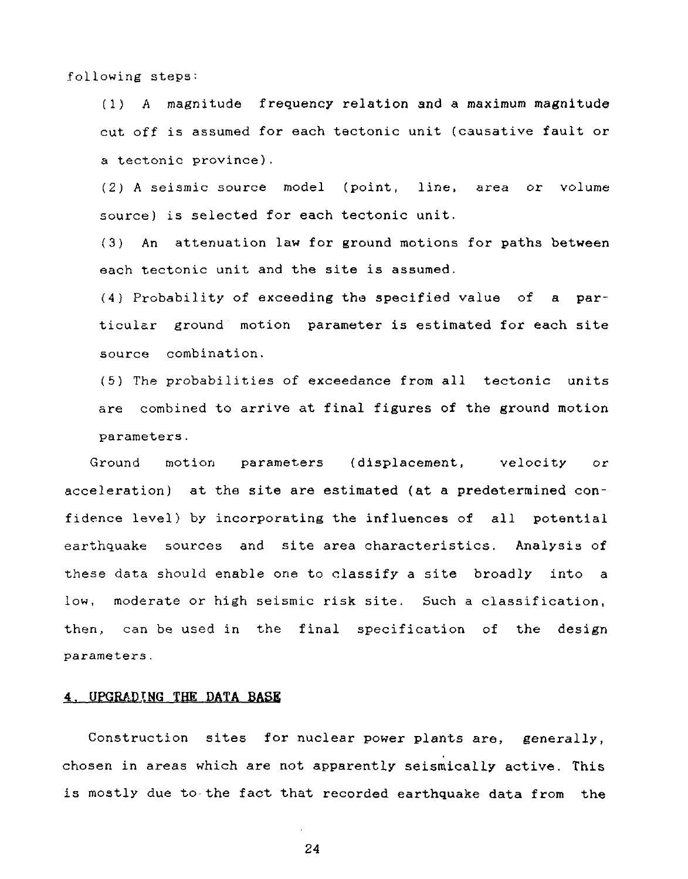following steps:

(1) A magnitude frequency relation and a maximum magnitude cut off is assumed for each tectonic unit (causative fault or a tectonic province).

(2) A seismic source model (point, line, area or volume source) is selected for each tectonic unit.

(3) An attenuation law for ground motions for paths between each tectonic unit and the site is assumed.

(4) Probability of exceeding tha specified value of a particular ground motion parameter is estimated for each site source combination.

(5) The probabilities of exceedance from all tectonic units are combined to arrive at final figures of the ground motion parameters.

Ground motion parameters (displacement, velocity or acceleration) at the site are estimated (at a predetermined confidence level) by incorporating the influences of all potential earthquake sources and site area characteristics. Analysis of these data should enable one to classify a site broadly into a low, moderate or high seismic risk site. Such a classification, then, can be used in the final specification of the design parameters.

#### **4. UPGRADING THE DATA BASE**

Construction sites for nuclear power plants are, generally, chosen in areas which are not apparently seismically active. This is mostly due to the fact that recorded earthquake data from the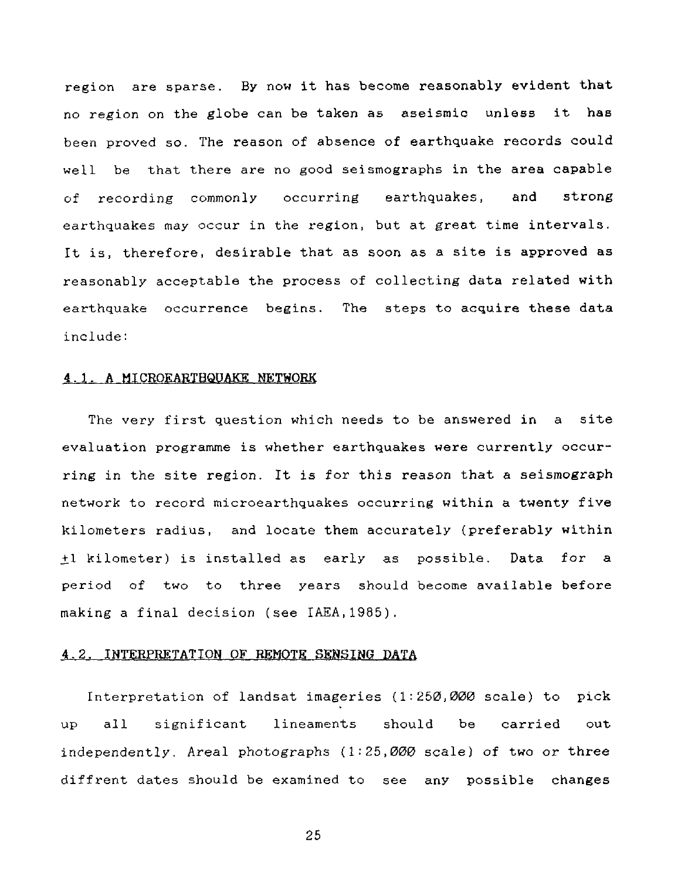region are sparse. By now it has become reasonably evident that no region on the globe can be taken as aseismic unless it has been proved so. The reason of absence of earthquake records could well be that there are no good seismographs in the area capable of recording commonly occurring earthquakes, and strong earthquakes may occur in the region, but at great time intervals. It is, therefore, desirable that as soon as a site is approved as reasonably acceptable the process of collecting data related with earthquake occurrence begins. The steps to acquire these data include:

#### 4.1. A MICROEARTHQUAKE NETWORK

The very first question which needs to be answered in a site evaluation programme is whether earthquakes were currently occurring in the site region. It is for this reason that a seismograph network to record microearthquakes occurring within a twenty five kilometers radius, and locate them accurately (preferably within ±1 kilometer) is installed as early as possible. Data for a period of two to three years should become available before making a final decision (see IAEA,1985).

#### 4.2. INTERPRETATION OF REMOTE SENSING DATA

Interpretation of landsat imageries (1:250,000 scale) to pick up all significant lineaments should be carried out independently. Areal photographs  $(1:25,000$  scale) of two or three diffrent dates should be examined to see any possible changes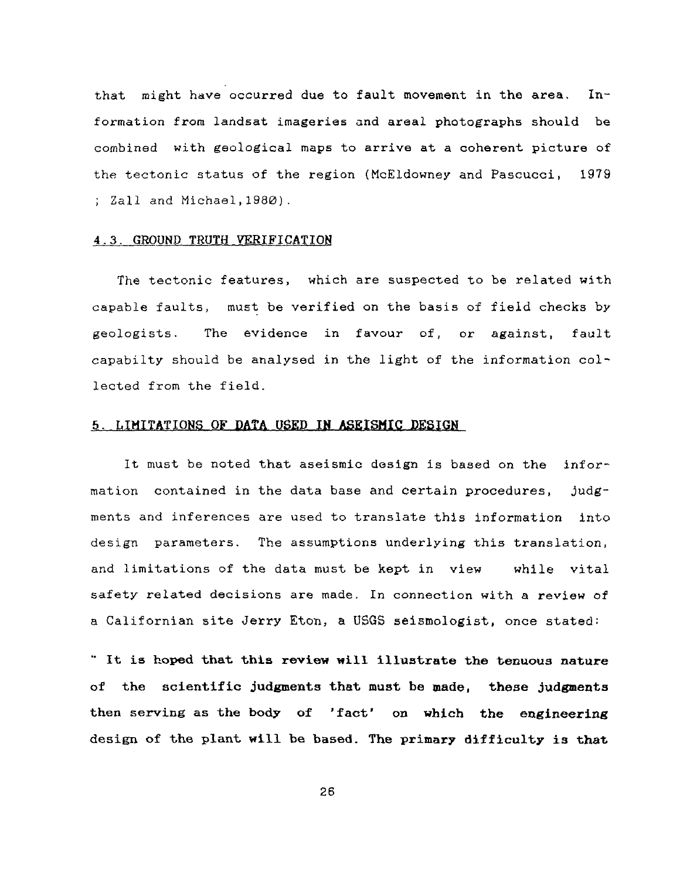that might have occurred due to fault movement in the area. Information from landsat imageries and areal photographs should be combined with geological maps to arrive at a coherent picture of the tectonic status of the region (McEldowney and Pascucci, 1979 ; Zall and Michael,1980).

#### 4.3. GROUND TROTH VERIFICATION

The tectonic features, which are suspected to be related with capable faults, must be verified on the basis of field checks by geologists. The evidence in favour of, or against, fault capabilty should be analysed in the light of the information collected from the field.

#### 5. LIMITATIONS OF DATA USED IN ASEISMIC DESIGN

It must be noted that aseismic design is based on the information contained in the data base and certain procedures, judgments and inferences are used to translate this information into design parameters. The assumptions underlying this translation, and limitations of the data must be kept in view while vital safety related decisions are made. In connection with a review of a Californian site Jerry Eton, a USGS seismologist, once stated:

" **It is hoped that this review will illustrate the tenuous nature of the scientific judgments that must be made, these judgments then serving** as **the body of 'fact' on which the engineering** design of the plant **will be based. The primary difficulty is that**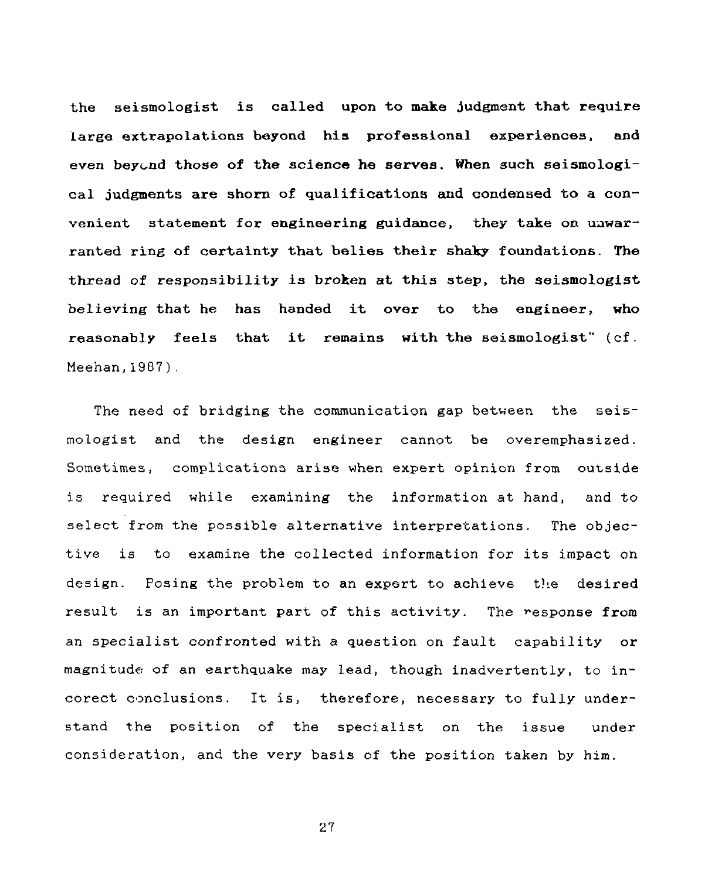**"the seismologist is called upon to make judgment that require large extrapolations beyond his professional experiences, and even beyond those of the science he serves. When such seismologi**cal **judgments are shorn of qualifications and condensed to a convenient statement** for **engineering guidance, they take on unwarranted** ring **of certainty that belies their shaky foundations. The** thread of responsibility is **broken at this step, the seismologist** believing **that he has handed it over to** the **engineer, who reasonably feels that it remains with the seismologist"** (cf. Meehan,1987).

The need of bridging the communication gap between the seismologist and the design engineer cannot be overemphasized. Sometimes, complications arise when expert opinion from outside is required while examining the information at hand, and to select from the possible alternative interpretations. The objective is to examine the collected information for its impact on design. Posing the problem to an expert to achieve the desired result is an important part of this activity. The response from an specialist confronted with a question on fault capability or magnitude of an earthquake may lead, though inadvertently, to incorect conclusions. It is, therefore, necessary to fully understand the position of the specialist on the issue under consideration, and the very basis of the position taken by him.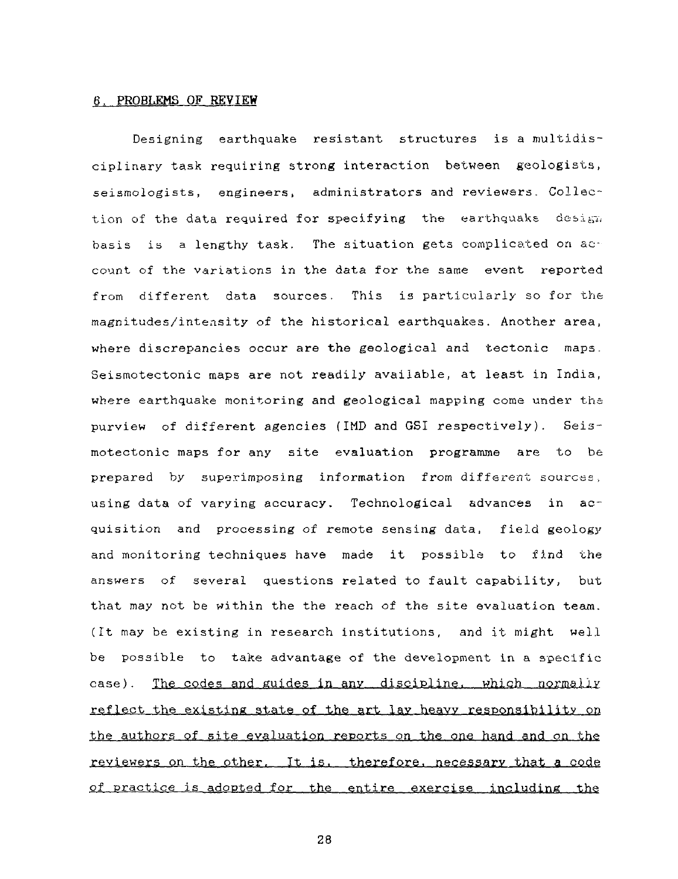#### 6. PROBLEMS OF REVIEW

Designing earthquake resistant structures is a multidisciplinary task requiring strong interaction between geologists, seismologists, engineers, administrators and reviewers. Collection of the data required for specifying the earthquake design basis is a lengthy task. The situation gets complicated on account of the variations in the data for the same event reported from different data sources. This is particularly so for the magnitudes/intensity of the historical earthquakes. Another area, where discrepancies occur are the geological and tectonic maps. Seismotectonic maps are not readily available, at least in India, where earthquake monitoring and geological mapping come under the purview of different agencies (IMD and GSI respectively). Seismotectonic maps for any site evaluation programme are to be prepared by superimposing information from different sources, using data of varying accuracy. Technological advances in acquisition and processing of remote sensing data, field geology and monitoring techniques have made it possible to find the answers of several questions related to fault capability, but that may not be within the the reach of the site evaluation team. (It may be existing in research institutions, and it might well be possible to take advantage of the development in a specific case). The codes and guides in any discipline, which normally reflect the existing state of the art lay heavy responsibility on the authors of site evaluation reports on the one hand and on the reviewers on the other. It is. therefore, necessary that a code of practice is adopted for the entire exercise including the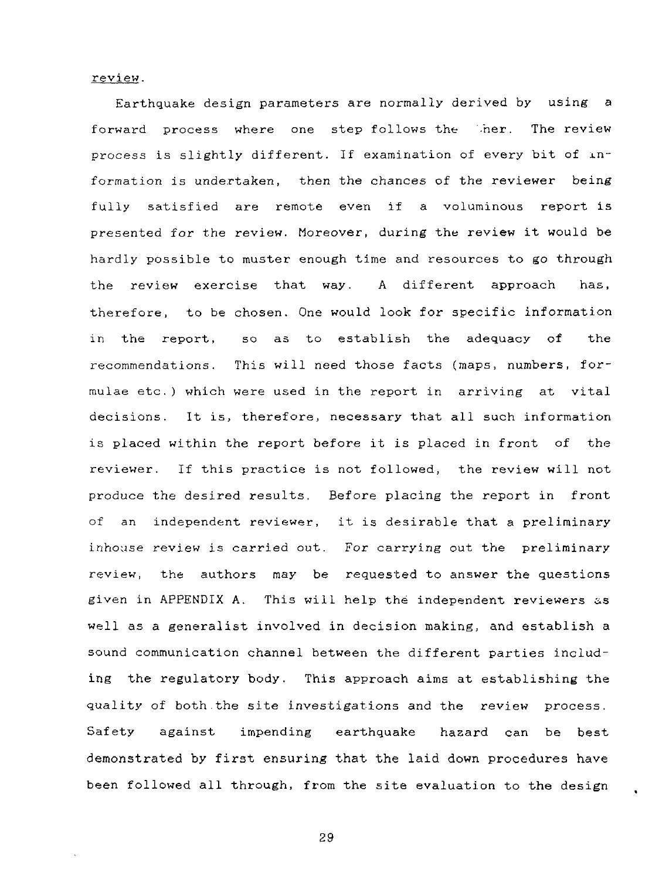review.

Earthquake design parameters are normally derived by using a forward process where one step-follows the 'her. The review process is slightly different. If examination of every bit of information is undertaken, then the chances of the reviewer being fully satisfied are remote even if a voluminous report is presented for the review. Moreover, during the review it would be hardly possible to muster enough time and resources to go through the review exercise that way. A different approach has, therefore, to be chosen. One would look for specific information in the report, so as to establish the adequacy of the recommendations. This will need those facts (maps, numbers, formulae etc.) which were used in the report in arriving at vital decisions. It is, therefore, necessary that all such information is placed within the report before it is placed in front of the reviewer. If this practice is not followed, the review will not produce the desired results. Before placing the report in front of an independent reviewer, it is desirable that a preliminary inhouse review is carried out. For carrying out the preliminary review, the authors may be requested to answer the questions given in APPENDIX A. This will help the independent reviewers as well as a generalist involved in decision making, and establish a sound communication channel between the different parties including the regulatory body. This approach aims at establishing the quality of both.the site investigations and the review process. Safety against impending earthquake haaard can be best demonstrated by first ensuring that the laid down procedures have been followed all through, from the site evaluation to the design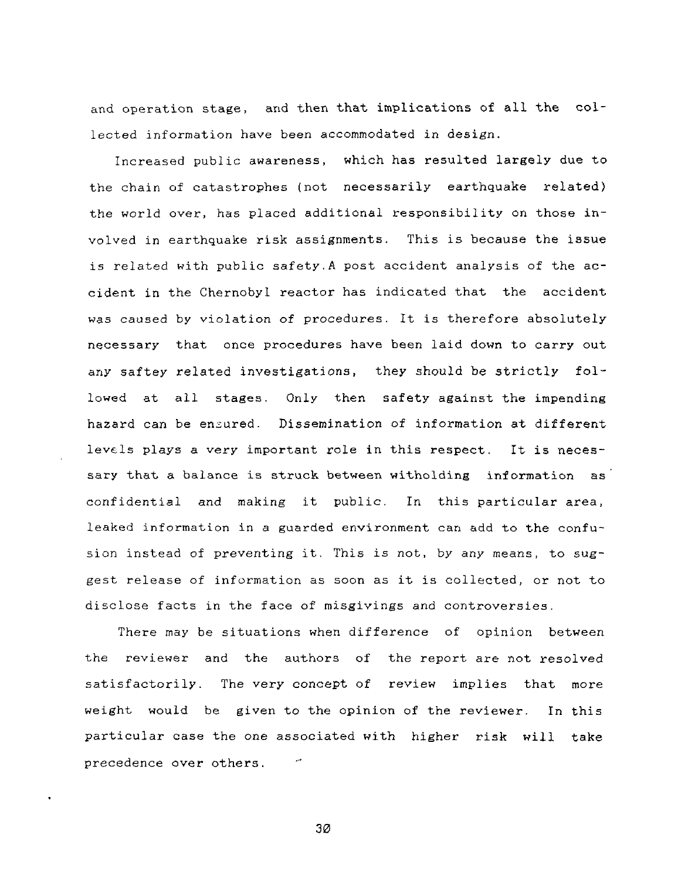and operation stage, and then that implications of all the collected information have been accommodated in design.

Increased public awareness, which has resulted largely due to the chain of catastrophes (not necessarily earthquake related) the world over, has placed additional responsibility on those involved in earthquake risk assignments. This is because the issue is related with public safety.A post accident analysis of the accident in the Chernobyl reactor has indicated that the accident was caused by violation of procedures. It is therefore absolutely necessary that once procedures have been laid down to carry out any saftey related investigations, they should be strictly followed at all stages. Only then safety against the impending hazard can be ensured. Dissemination of information at different levels plays a very important role in this respect. It is necessary that a balance is struck between witholding information as confidential and making it public. In this particular area, leaked information in a guarded environment can add to the confusion instead of preventing it. This is not, by any means, to suggest release of information as soon as it is collected, or not to disclose facts in the face of misgivings and controversies.

There may be situations when difference of opinion between the reviewer and the authors of the report are not resolved satisfactorily. The very concept of review implies that more weight would be given to the opinion of the reviewer. In this particular case the one associated with higher risk will take precedence over others.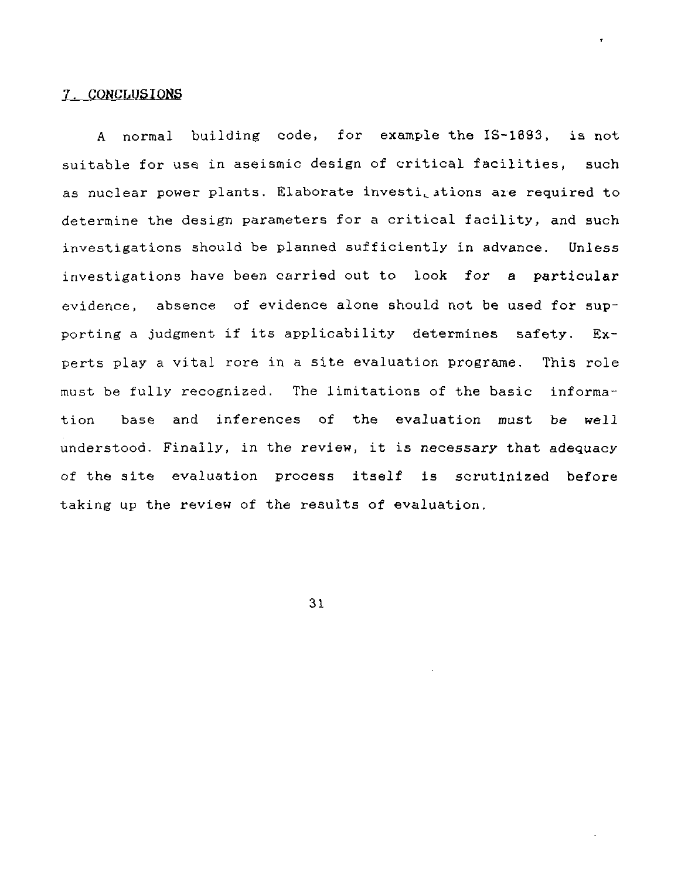#### 7. CONCLUSIONS

A normal building code, for example the IS-1893, is not suitable for use in aseismic design of critical facilities, such as nuclear power plants. Elaborate investigations are required to determine the design parameters for a critical facility, and such investigations should be planned sufficiently in advance. Unless investigations have been carried out to look for a particular evidence, absence of evidence alone should not be used for supporting a judgment if its applicability determines safety. Experts play a vital rore in a site evaluation programe. This role must be fully recognized. The limitations of the basic information base and inferences of the evaluation must be well understood. Finally, in the review, it is necessary that adequacy of the site evaluation process itself is scrutinized before taking up the review of the results of evaluation.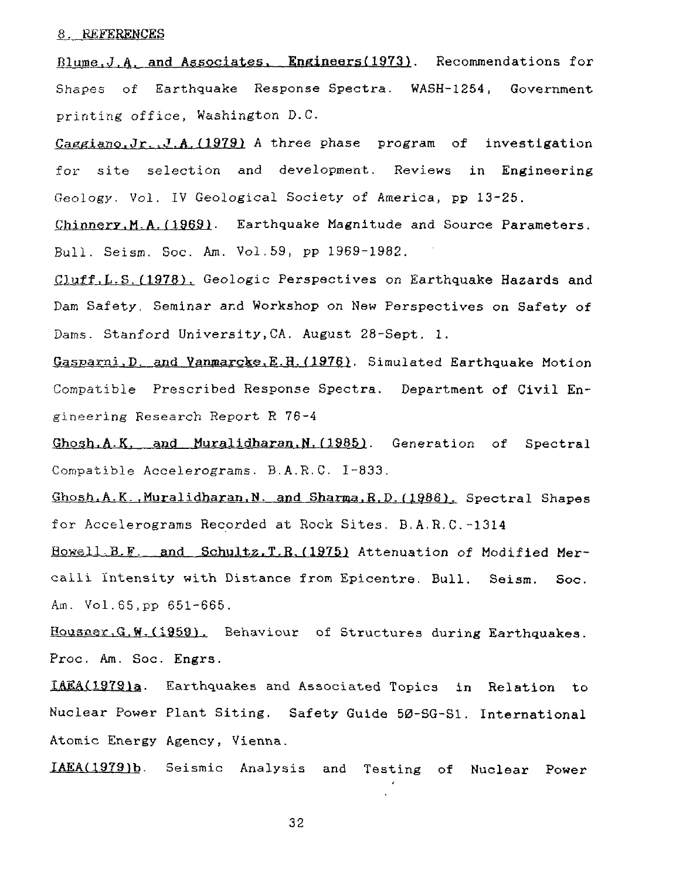#### 8. REFERENCES

Blume.J.A. and Associates. Engineers(1973). Recommendations for Shapes of Earthquake Response Spectra. WASH-1254, Government printing office, Washington D.C.

Caggiano.Jr.,J.A.(1979) A three phase program of investigation for site selection and development. Reviews in Engineering Geology. Vol. IV Geological Society of America, pp 13-25.

Chinnery.M.A.(1969). Earthquake Magnitude and Source Parameters. Bull. Seism. Soc. Am. Vol.59, pp 1969-1982.

duff,L.S.(1978). Geologic Perspectives on Earthquake Hazards and Dam Safety. Seminar and Workshop on New Perspectives on Safety of Dams. Stanford University,CA. August 28-Sept. 1.

Gasparni.D. and Yanmarcke.E.H.(1976). Simulated Earthquake Motion Compatible Prescribed Response Spectra. Department of Civil Engineering Research Report R 76-4

Ghosh.A.K. and Muralidharan.N. (1985). Generation of Spectral Compatible Accelerograms. B.A.R.C. 1-833.

Ghosh,A.K..Muralidharan.N. and Sharma.R.P.(1986). Spectral Shapes for Accelerograms Recorded at Rock Sites. B.A.R.C.-1314

Howell, B.F. and Schultz.T.R. (1975) Attenuation of Modified Mercalli Intensity with Distance from Epicentre. Bull. Seism. Soc. Am. Vol.85,pp 651-665.

Housner.G.W.(1959). Behaviour of Structures during Earthquakes. Proc. Am. Soc. Engrs.

IAEA(1979)a. Earthquakes and Associated Topics in Relation to Nuclear Power Plant Siting. Safety Guide 50-SG-S1. International Atomic Energy Agency, Vienna.

IAEA(1979)b. Seismic Analysis and Testing of Nuclear Power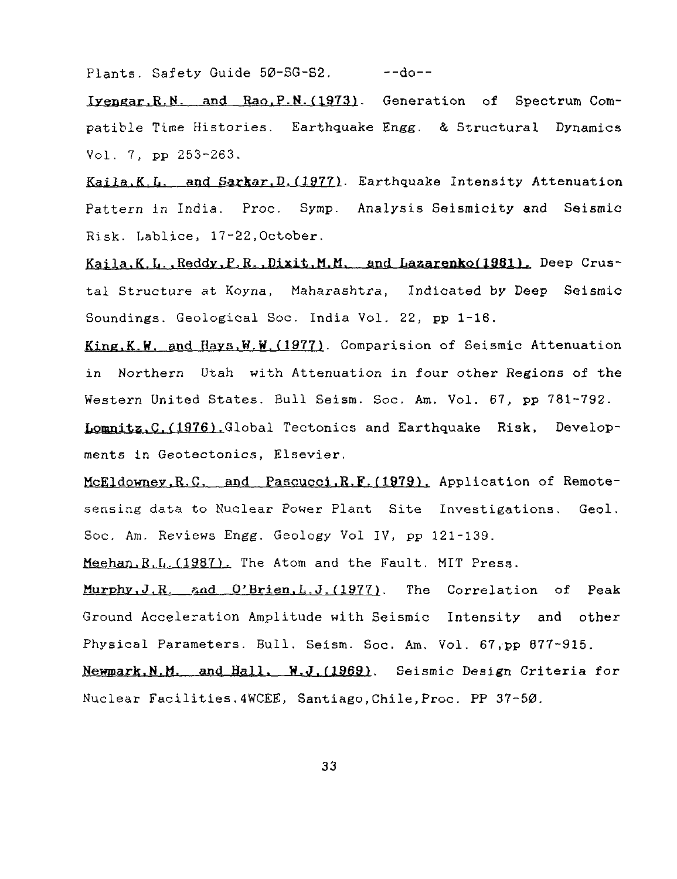Plants. Safety Guide 50-SG-S2. --- do--

lyenear.R.N. and Rao.P.N.(1973). Generation of Spectrum Compatible Time Histories. Earthquake Engg. & Structural Dynamics Vol. 7, pp 253-263.

Kaila.K.L. and Sarkar.D.(1977). Earthquake Intensity Attenuation Pattern in India. Proc. Symp. Analysis Seismicity and Seismic Risk. Lablice, 17-22,October.

Kaila.K.L. Reddy.P.R. Dixit.M.M. and Lazarenko(1981). Deep Crustal Structure at Koyna, Maharashtra, Indicated by Deep Seismic Soundings. Geological Soc. India Vol. 22, pp 1-16.

Kine.K.W. and Havs.W.W.(1977). Comparision of Seismic Attenuation in Northern Utah with Attenuation in four other Regions of the Western United States. Bull Seism. Soc. Am. Vol. 67, pp 781-792.

Lomnitz.C.(1976).Global Tectonics and Earthquake Risk, Developments in Geotectonics, Elsevier.

McEldowney.R.C. and Pascucci.R.F.(1979). Application of Remotesensing data to Nuclear Power Plant Site Investigations. Geol. Soc. Am. Reviews Engg. Geology Vol IV, pp 121-139.

Meehan.R.L.(1987). The Atom and the Fault. MIT Press.

Murphy, J.R. and O'Brien. L.J. (1977). The Correlation of Peak Ground Acceleration Amplitude with Seismic Intensity and other Physical Parameters. Bull. Seism. Soc. Am. Vol. 67,pp 877-915.

Newmark.N.M. and Hall. W.J.(1969). Seismic Design Criteria for Nuclear Facilities.4WCEE, Santiago,Chile,Proc. PP 37-50.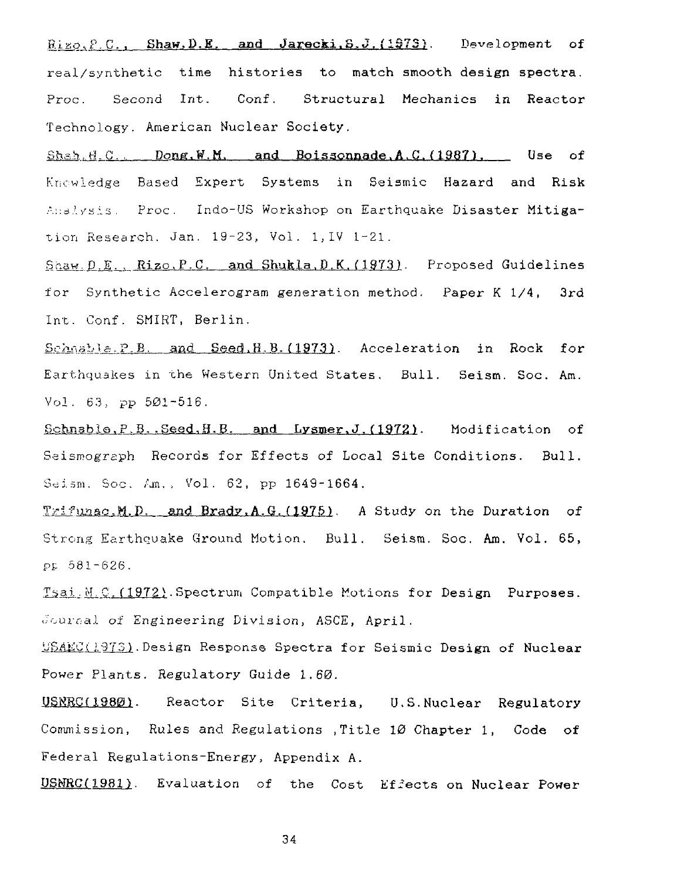$Riz_{\mathcal{O}},P,C$ ., Shaw.D.E. and Jarecki.  $G, J$ . (1973). Development of real/synthetic time histories to match smooth design spectra. Proc. Second Int. Conf. Structural Mechanics in Reactor Technology. American Nuclear Society.

Shah.H.C. ... Dong.W.M. and Boissonnade A.C. (1987). Use of Knowledge Based Expert Systems in Seismic Hazard and Risk Analysis. Proc. Indo-US Workshop on Earthquake Disaster Mitigation Research. Jan. 19-23, Vol. 1,1V 1-21.

Shaw.D.E.,  $Rize, P.C.$  and Shukla, D.K. (1973). Proposed Guidelines for Synthetic Accelerogram generation method. Paper K 1/4, 3rd Int. Conf. SMIRT, Berlin.

Schnable.P.B. and Seed, H.B.(1973). Acceleration in Rock for Earthquakes in the Western United States. Bull. Seism. Soc. Am. Vol. 63, pp 501-516.

Schnabla.P.B..Seed,H.B. apd Lysmer.J.(**1972**). Modification of Seismograph Records for Effects of Local Site Conditions. Bull. Seism. Soc. Am., Vol. 62, pp 1649-1664.

Trifunac.M.D. and Brady.A.G. (1975). A Study on the Duration of Strong Earthquake Ground Motion. Bull. Seism. Soc. Am. Vol. 65, Pt 581-626.

Tsai.M.C.(1972).Spectrum Compatible Motions for Design Purposes. Journal of Engineering Division, ASCE, April.

USAEC(1973). Design Response Spectra for Seismic Design of Nuclear Power Plants. Regulatory Guide 1.60.

USWRC(1980). Reactor Site Criteria, U.S.Nuclear Regulatory Commission, Rules and Regulations .Title 10 Chapter 1, Code of Federal Regulations-Energy, Appendix A.

USMRC(1981). Evaluation of the Cost Effects on Nuclear Power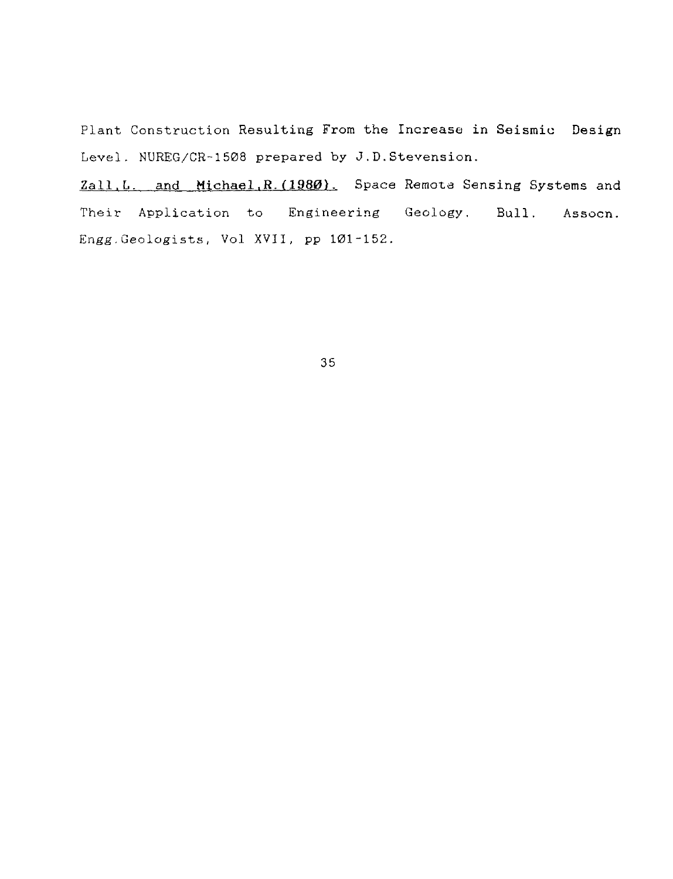Plant Construction Resulting From the Increase in Seismic Design Level. NUREG/CR-1508 prepared by J.D.Stevension.

Zall.L. and Michael**,R.(1980)**. Space Remote Sensing Systems and Their Application to Engineering Geology. Bull. Assocn. Engg.Geologists, Vol XVII, pp 101-152.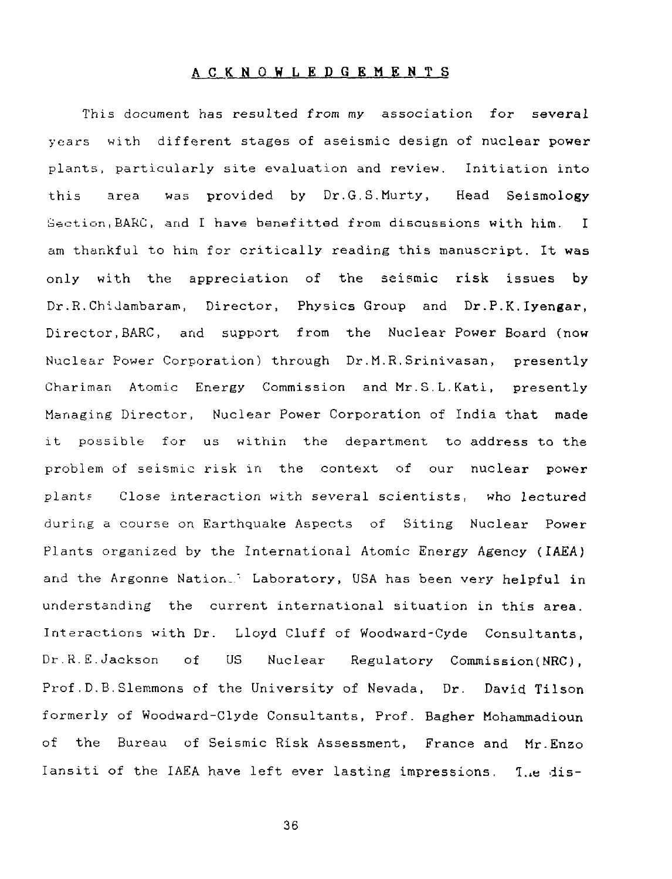#### **ACKNOWLEDGEMENTS**

This document has resulted from my association for several years with different stages of aseismic design of nuclear power plants, particularly site evaluation and review. Initiation into this area was provided by Dr.G.S.Murty, Head Seismology Section,BARC, and I have banafitted from discussions with him. I am thankful to him for critically reading this manuscript. It was only with the appreciation of the seismic risk issues by Dr.R.ChiJambaram, Director, Physics Group and Dr.P.K.Iyengar, Director,BARC, and support from the Nuclear Power Board (now Nuclear Power Corporation) through Dr.M.R.Srinivasan, presently Chariman Atomic Energy Commission and Mr.S.L.Kati, presently Managing Director, Nuclear Power Corporation of India that made it possible for us within the department to address to the problem of seismic risk in the context of our nuclear power plant? Close interaction with several scientists, who lectured during a course on Earthquake Aspects of Siting Nuclear Power Plants organized by the International Atomic Energy Agency (IAEA) and the Argonne Nation.<sup>1</sup> Laboratory, USA has been very helpful in understanding the current international situation in this area. Interactions with Dr. Lloyd Cluff of Woodward-Cyde Consultants, Dr.R.E.Jackson of US Nuclear Regulatory Commission(NRC), Prof.D.B.Slemmons of the University of Nevada, Dr. David Tilson formerly of Woodward-Clyde Consultants, Prof. Bagher Mohammadioun of the Bureau of Seismic Risk Assessment, France and Mr.Enao Iansiti of the IAEA have left ever lasting impressions. The dis-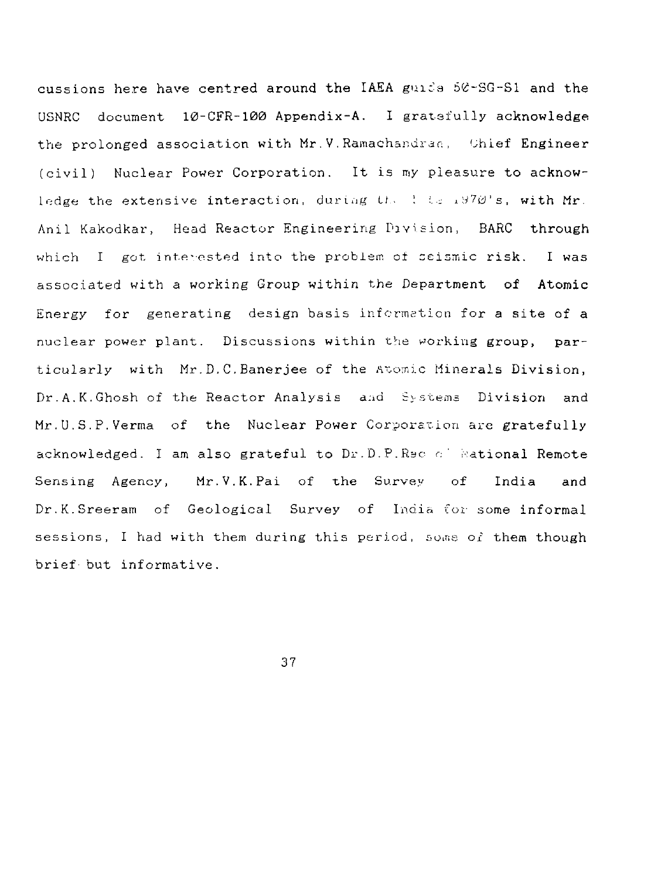cussions here have centred around the IAEA guide  $56$ -SG-S1 and the USNRC document 10-CFR-100 Appendix-A. I gratefully acknowledge the prolonged association with Mr. V. Ramachandran, Chief Engineer (civil) Nuclear Power Corporation. It is my pleasure to acknowledge the extensive interaction, during  $U_2 \to \pm \pm \sqrt{20}$ 's, with Mr. Anil Kakodkar, Head Reactor Engineering Division, BARC through which  $I$  got interested into the problem of seismic risk. I was associated with a working Group within the Department of Atomic Energy for generating design basis information for a site of a nuclear power plant. Discussions within the working group, particularly with Mr.D.C.Banerjee of the Atomic Minerals Division, Dr. A. K. Ghosh of the Reactor Analysis and Systems Division and Mr.U.S.P.Verma of the Nuclear Power Corporation are gratefully acknowledged. I am also grateful to Dr.D.P.Rsc of Rational Remote Sensing Agency, Mr.V.K.Pai of the Survey of India and Dr.K.Sreeram of Geological Survey of India for some informal sessions, I had with them during this period, some of them though brief but informative.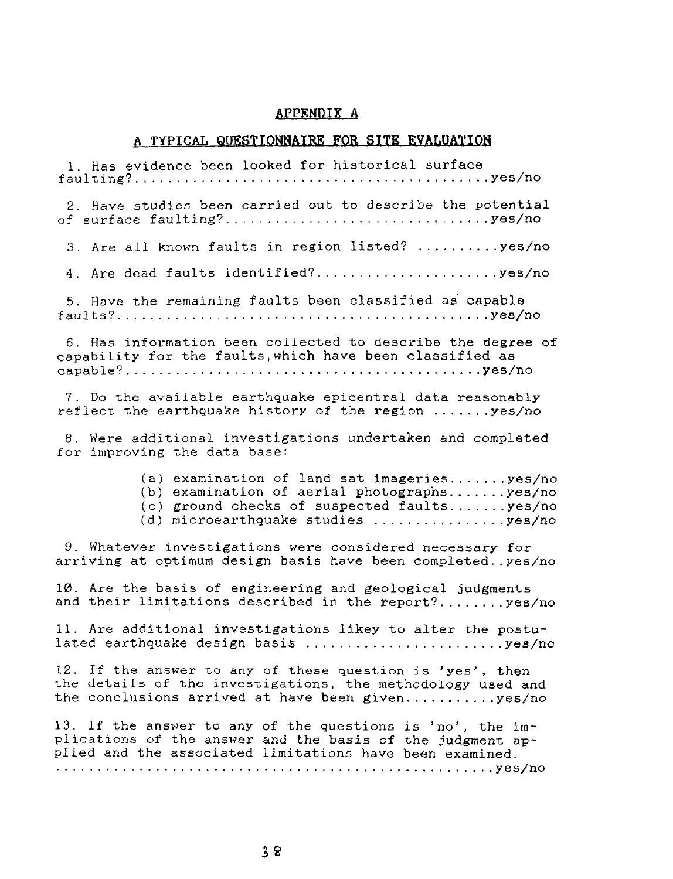#### APPENDIX A

#### A TYPICAL **QUESTIONNAIRE** FOR **SITE EVALUATION**

1. Has evidence been looked for historical surface faulting? yes/no 2. Have studies been carried out to describe the potential of surface faulting? yes/no 3. Are all known faults in region listed?  $\dots\dots\dots$ 4. Are dead faults identified?.............................yes/no 5. Have the remaining faults been classified as capable faults? yes/no 6. Has information been collected to describe the degree of capability for the faults,which have been classified as capable? yes/no 7. Do the available earthquake epicentral data reasonably reflect the earthquake history of the region  $\dots\dots$ , yes/no 8. Were additional investigations undertaken and completed for improving the data base: (a) examination of land sat imageries.......yes/no (b) examination of aerial photographs.......yes/no  $(c)$  ground checks of suspected faults.......yes/no  $(d)$  microearthquake studies  $\ldots \ldots \ldots \ldots$ 9. Whatever investigations were considered necessary for arriving at optimum design basis have been completed..yes/no 10. Are the basis of engineering and geological judgments and their limitations described in the report?........ yes/no 11. Are additional investigations likey to alter the postulated earthquake design basis  $..., \dots, \dots, \dots, \text{yes/no}$ 12. If the answer to any of these question is 'yes', then the details of the investigations, the methodology used and the conclusions arrived at have been given............yes/no 13. If the answer to any of the questions is 'no', the implications of the answer and the basis of the judgment applied and the associated limitations have been examined. yes/no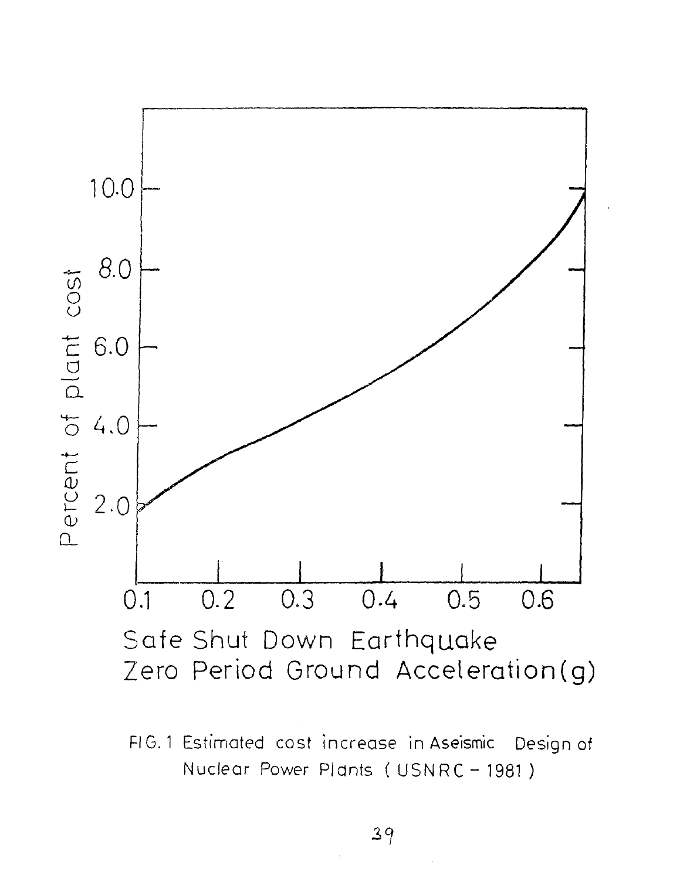

FIG. 1 Estimated cost increase in Aseismic Design of Nuclear Power Plants ( USNRC - 1981 )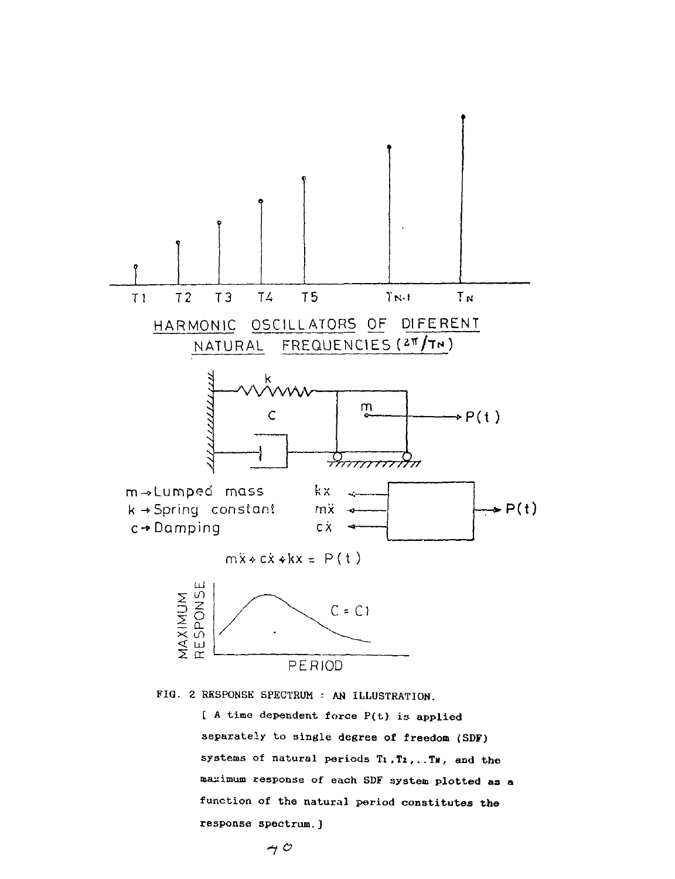

FIQ. 2 RESPONSE SPECTRUM : AN ILLUSTRATION.

[ A time dependent force P(t) is applied separately to single degree of freedom (SDF) systems of natural periods Ti,T2,..Tx, and the maximum response of each SDF system plotted as a function of the natural period constitutes the response spectrum.J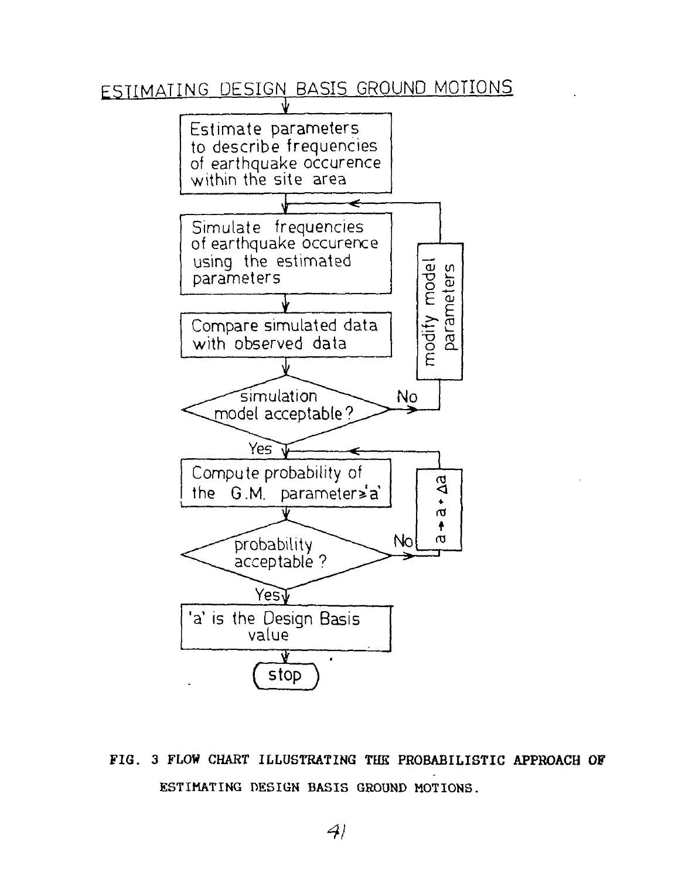# ESTIMATING DESIGN BASIS GROUND MOTIONS



FIG. 3 FLOW CHART ILLUSTRATING THE PROBABILISTIC APPROACH OF ESTIMATING DESIGN BASIS GROUND MOTIONS.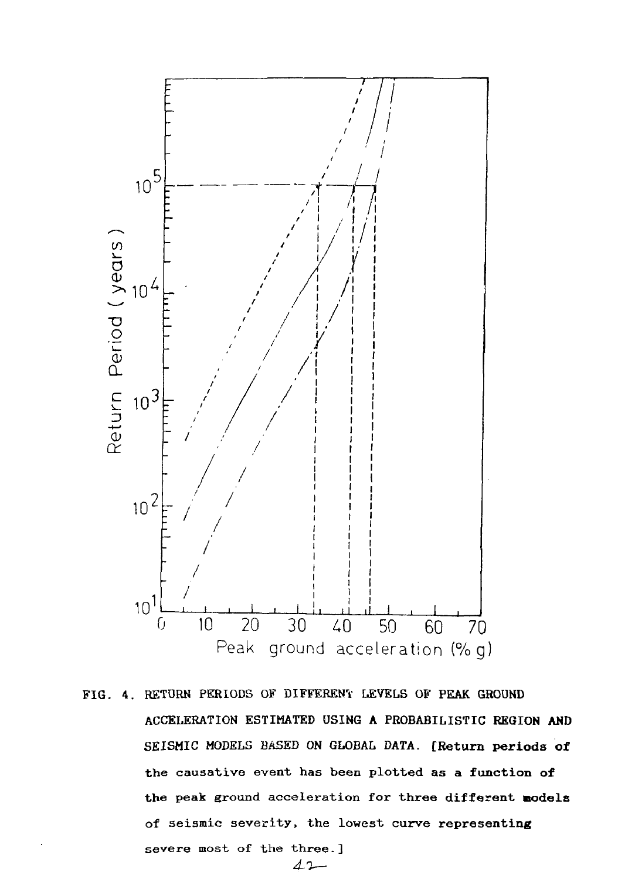

FIG. 4. RETURN PERIODS OF DIFFERENT LEVELS OF **PEAK GROUND** ACCELERATION ESTIMATED USING **A** PROBABILISTIC **REGION AND** SEISMIC MODELS BASED ON GLOBAL **DATA. [Return periods of** the causative event has been plotted as **a function of** the peak ground acceleration for three **different models** of seismic severity, the lowest curve **representing** severe most of the three.]